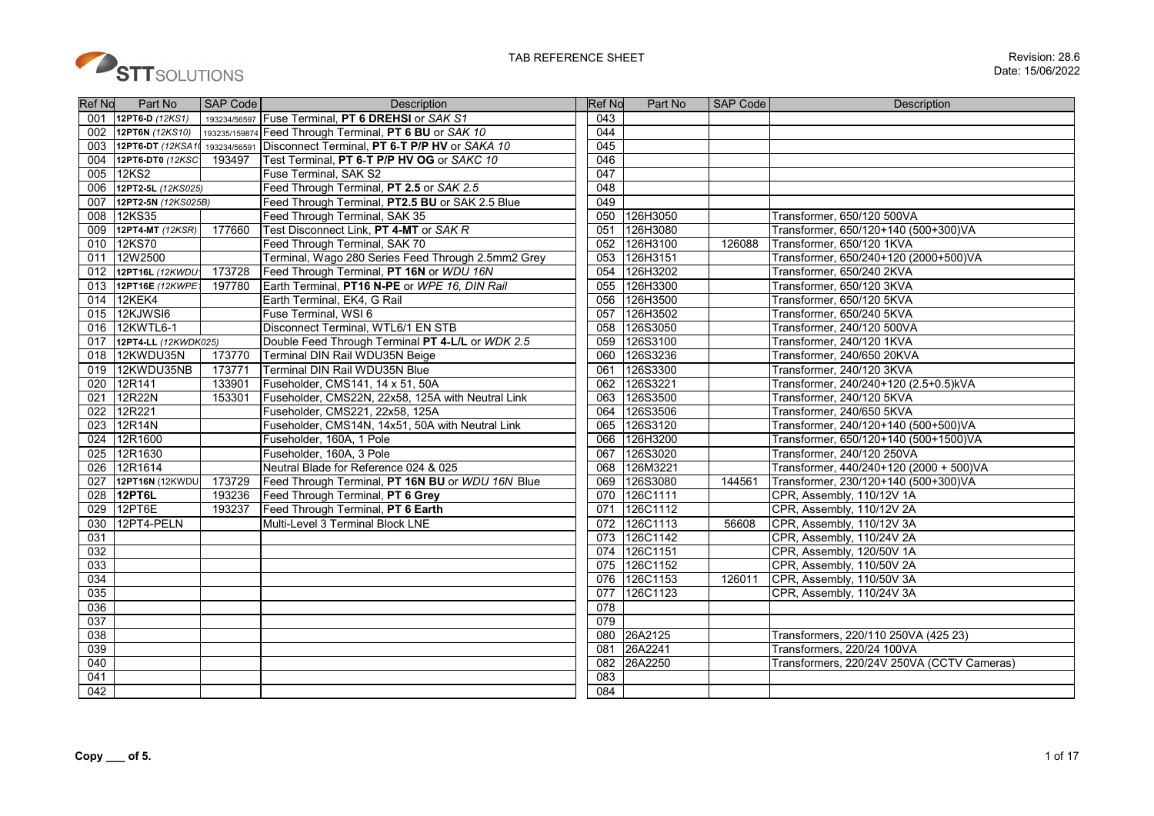

| <b>Ref No</b> | Part No              | <b>SAP Code</b> | <b>Description</b>                                         | <b>Ref No</b> | Part No  | <b>SAP Code</b> | Description                                |
|---------------|----------------------|-----------------|------------------------------------------------------------|---------------|----------|-----------------|--------------------------------------------|
| 001           | 12PT6-D (12KS1)      |                 | 193234/56597 Fuse Terminal, PT 6 DREHSI or SAK S1          | 043           |          |                 |                                            |
|               | 002 12PT6N (12KS10)  |                 | 193235/159874 Feed Through Terminal, PT 6 BU or SAK 10     | 044           |          |                 |                                            |
| 003           | 12PT6-DT (12KSA10    |                 | 193234/56591 Disconnect Terminal, PT 6-T P/P HV or SAKA 10 | 045           |          |                 |                                            |
| 004           | 12PT6-DT0 (12KSC     | 193497          | Test Terminal, PT 6-T P/P HV OG or SAKC 10                 | 046           |          |                 |                                            |
| 005           | 12KS2                |                 | Fuse Terminal, SAK S2                                      | 047           |          |                 |                                            |
| 006           | 12PT2-5L (12KS025)   |                 | Feed Through Terminal, PT 2.5 or SAK 2.5                   | 048           |          |                 |                                            |
| 007           | 12PT2-5N (12KS025B)  |                 | Feed Through Terminal, PT2.5 BU or SAK 2.5 Blue            | 049           |          |                 |                                            |
| 008           | 12KS35               |                 | Feed Through Terminal, SAK 35                              | 050           | 126H3050 |                 | Transformer, 650/120 500VA                 |
| 009           | 12PT4-MT (12KSR)     | 177660          | Test Disconnect Link, PT 4-MT or SAK R                     | 051           | 126H3080 |                 | Transformer, 650/120+140 (500+300)VA       |
| 010           | 12KS70               |                 | Feed Through Terminal, SAK 70                              | 052           | 126H3100 | 126088          | Transformer, 650/120 1KVA                  |
| 011           | 12W2500              |                 | Terminal, Wago 280 Series Feed Through 2.5mm2 Grey         | 053           | 126H3151 |                 | Transformer, 650/240+120 (2000+500)VA      |
| 012           | 12PT16L (12KWDU*     | 173728          | Feed Through Terminal, PT 16N or WDU 16N                   | 054           | 126H3202 |                 | Transformer, 650/240 2KVA                  |
| 013           | 12PT16E (12KWPE1     | 197780          | Earth Terminal. PT16 N-PE or WPE 16, DIN Rail              | 055           | 126H3300 |                 | Transformer, 650/120 3KVA                  |
| 014           | 12KEK4               |                 | Earth Terminal, EK4, G Rail                                | 056           | 126H3500 |                 | Transformer, 650/120 5KVA                  |
|               | 015 12KJWSI6         |                 | <b>Fuse Terminal. WSI 6</b>                                | 057           | 126H3502 |                 | Transformer, 650/240 5KVA                  |
| 016           | 12KWTL6-1            |                 | Disconnect Terminal, WTL6/1 EN STB                         | 058           | 126S3050 |                 | Transformer, 240/120 500VA                 |
| 017           | 12PT4-LL (12KWDK025) |                 | Double Feed Through Terminal PT 4-L/L or WDK 2.5           | 059           | 126S3100 |                 | Transformer, 240/120 1KVA                  |
| 018           | 12KWDU35N            | 173770          | Terminal DIN Rail WDU35N Beige                             | 060           | 126S3236 |                 | Transformer, 240/650 20KVA                 |
| 019           | 12KWDU35NB           | 173771          | Terminal DIN Rail WDU35N Blue                              | 061           | 126S3300 |                 | Transformer, 240/120 3KVA                  |
| 020           | 12R141               | 133901          | Fuseholder, CMS141, 14 x 51, 50A                           | 062           | 126S3221 |                 | Transformer, 240/240+120 (2.5+0.5)kVA      |
| 021           | 12R22N               | 153301          | Fuseholder, CMS22N, 22x58, 125A with Neutral Link          | 063           | 126S3500 |                 | Transformer, 240/120 5KVA                  |
| 022           | 12R221               |                 | Fuseholder, CMS221, 22x58, 125A                            | 064           | 126S3506 |                 | Transformer, 240/650 5KVA                  |
| 023           | 12R14N               |                 | Fuseholder, CMS14N, 14x51, 50A with Neutral Link           | 065           | 126S3120 |                 | Transformer, 240/120+140 (500+500)VA       |
| 024           | 12R1600              |                 | Fuseholder, 160A, 1 Pole                                   | 066           | 126H3200 |                 | Transformer, 650/120+140 (500+1500)VA      |
| 025           | 12R1630              |                 | Fuseholder, 160A, 3 Pole                                   | 067           | 126S3020 |                 | Transformer, 240/120 250VA                 |
| 026           | 12R1614              |                 | Neutral Blade for Reference 024 & 025                      | 068           | 126M3221 |                 | Transformer, 440/240+120 (2000 + 500)VA    |
| 027           | 12PT16N (12KWDU      | 173729          | Feed Through Terminal, PT 16N BU or WDU 16N Blue           | 069           | 126S3080 | 144561          | Transformer, 230/120+140 (500+300)VA       |
| 028           | 12PT6L               | 193236          | Feed Through Terminal, PT 6 Grey                           | 070           | 126C1111 |                 | CPR, Assembly, 110/12V 1A                  |
| 029           | 12PT6E               | 193237          | Feed Through Terminal, PT 6 Earth                          | 071           | 126C1112 |                 | CPR, Assembly, 110/12V 2A                  |
| 030           | 12PT4-PELN           |                 | Multi-Level 3 Terminal Block LNE                           | 072           | 126C1113 | 56608           | CPR, Assembly, 110/12V 3A                  |
| 031           |                      |                 |                                                            | 073           | 126C1142 |                 | CPR, Assembly, 110/24V 2A                  |
| 032           |                      |                 |                                                            | 074           | 126C1151 |                 | CPR, Assembly, 120/50V 1A                  |
| 033           |                      |                 |                                                            | 075           | 126C1152 |                 | CPR, Assembly, 110/50V 2A                  |
| 034           |                      |                 |                                                            | 076           | 126C1153 | 126011          | CPR, Assembly, 110/50V 3A                  |
| 035           |                      |                 |                                                            | 077           | 126C1123 |                 | CPR, Assembly, 110/24V 3A                  |
| 036           |                      |                 |                                                            | 078           |          |                 |                                            |
| 037           |                      |                 |                                                            | 079           |          |                 |                                            |
| 038           |                      |                 |                                                            | 080           | 26A2125  |                 | Transformers, 220/110 250VA (425 23)       |
| 039           |                      |                 |                                                            | 081           | 26A2241  |                 | Transformers, 220/24 100VA                 |
| 040           |                      |                 |                                                            | 082           | 26A2250  |                 | Transformers, 220/24V 250VA (CCTV Cameras) |
| 041           |                      |                 |                                                            | 083           |          |                 |                                            |
| 042           |                      |                 |                                                            | 084           |          |                 |                                            |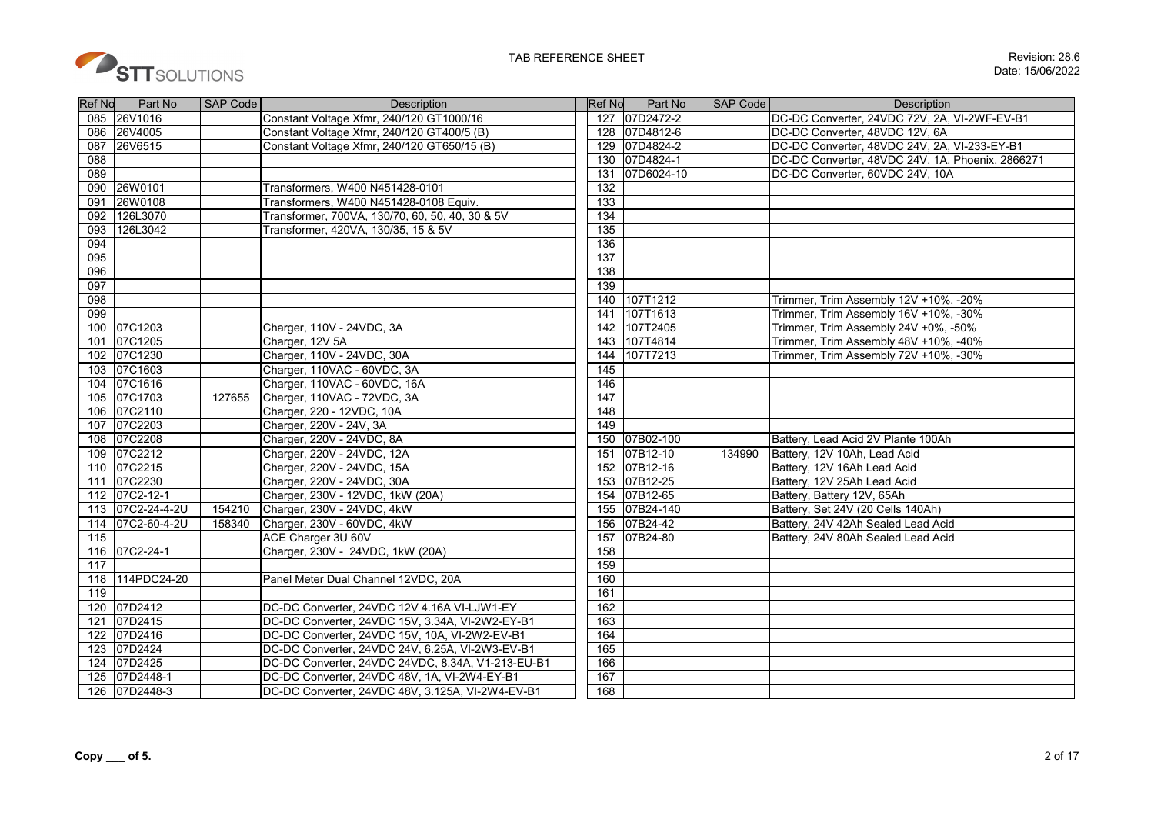

| <b>Ref No</b> | Part No       | SAP Code | Description                                       | Ref No | Part No       | SAP Code | Description                                      |
|---------------|---------------|----------|---------------------------------------------------|--------|---------------|----------|--------------------------------------------------|
|               | 085 26V1016   |          | Constant Voltage Xfmr, 240/120 GT1000/16          |        | 127 07D2472-2 |          | DC-DC Converter, 24VDC 72V, 2A, VI-2WF-EV-B1     |
| 086           | 26V4005       |          | Constant Voltage Xfmr, 240/120 GT400/5 (B)        |        | 128 07D4812-6 |          | DC-DC Converter, 48VDC 12V, 6A                   |
| 087           | 26V6515       |          | Constant Voltage Xfmr, 240/120 GT650/15 (B)       | 129    | 07D4824-2     |          | DC-DC Converter, 48VDC 24V, 2A, VI-233-EY-B1     |
| 088           |               |          |                                                   |        | 130 07D4824-1 |          | DC-DC Converter, 48VDC 24V, 1A, Phoenix, 2866271 |
| 089           |               |          |                                                   | 131    | 07D6024-10    |          | DC-DC Converter, 60VDC 24V, 10A                  |
| 090           | 26W0101       |          | Transformers, W400 N451428-0101                   | 132    |               |          |                                                  |
| 091           | 26W0108       |          | Transformers, W400 N451428-0108 Equiv.            | 133    |               |          |                                                  |
| 092           | 126L3070      |          | Transformer, 700VA, 130/70, 60, 50, 40, 30 & 5V   | 134    |               |          |                                                  |
| 093           | 126L3042      |          | Transformer, 420VA, 130/35, 15 & 5V               | 135    |               |          |                                                  |
| 094           |               |          |                                                   | 136    |               |          |                                                  |
| 095           |               |          |                                                   | 137    |               |          |                                                  |
| 096           |               |          |                                                   | 138    |               |          |                                                  |
| 097           |               |          |                                                   | 139    |               |          |                                                  |
| 098           |               |          |                                                   | 140    | 107T1212      |          | Trimmer, Trim Assembly 12V +10%, -20%            |
| 099           |               |          |                                                   | 141    | 107T1613      |          | Trimmer, Trim Assembly 16V +10%, -30%            |
|               | 100 07C1203   |          | Charger, 110V - 24VDC, 3A                         | 142    | 107T2405      |          | Trimmer, Trim Assembly 24V +0%, -50%             |
| 101           | 07C1205       |          | Charger, 12V 5A                                   | 143    | 107T4814      |          | Trimmer, Trim Assembly 48V +10%, -40%            |
|               | 102 07C1230   |          | Charger, 110V - 24VDC, 30A                        | 144    | 107T7213      |          | Trimmer, Trim Assembly 72V +10%, -30%            |
|               | 103 07C1603   |          | Charger, 110VAC - 60VDC, 3A                       | 145    |               |          |                                                  |
|               | 104 07C1616   |          | Charger, 110VAC - 60VDC, 16A                      | 146    |               |          |                                                  |
|               | 105 07C1703   | 127655   | Charger, 110VAC - 72VDC, 3A                       | 147    |               |          |                                                  |
|               | 106 07C2110   |          | Charger, 220 - 12VDC, 10A                         | 148    |               |          |                                                  |
|               | 107 07C2203   |          | Charger, 220V - 24V, 3A                           | 149    |               |          |                                                  |
|               | 108 07C2208   |          | Charger, 220V - 24VDC, 8A                         | 150    | 07B02-100     |          | Battery, Lead Acid 2V Plante 100Ah               |
| 109           | 07C2212       |          | Charger, 220V - 24VDC, 12A                        | 151    | 07B12-10      | 134990   | Battery, 12V 10Ah, Lead Acid                     |
|               | 110 07C2215   |          | Charger, 220V - 24VDC, 15A                        |        | 152 07B12-16  |          | Battery, 12V 16Ah Lead Acid                      |
|               | 111 07C2230   |          | Charger, 220V - 24VDC, 30A                        | 153    | 07B12-25      |          | Battery, 12V 25Ah Lead Acid                      |
|               | 112 07C2-12-1 |          | Charger, 230V - 12VDC, 1kW (20A)                  |        | 154 07B12-65  |          | Battery, Battery 12V, 65Ah                       |
| 113           | 07C2-24-4-2U  | 154210   | Charger, 230V - 24VDC, 4kW                        | 155    | 07B24-140     |          | Battery, Set 24V (20 Cells 140Ah)                |
| 114           | 07C2-60-4-2U  | 158340   | Charger, 230V - 60VDC, 4kW                        | 156    | 07B24-42      |          | Battery, 24V 42Ah Sealed Lead Acid               |
| 115           |               |          | ACE Charger 3U 60V                                | 157    | 07B24-80      |          | Battery, 24V 80Ah Sealed Lead Acid               |
| 116           | 07C2-24-1     |          | Charger, 230V - 24VDC, 1kW (20A)                  | 158    |               |          |                                                  |
| 117           |               |          |                                                   | 159    |               |          |                                                  |
| 118           | 114PDC24-20   |          | Panel Meter Dual Channel 12VDC, 20A               | 160    |               |          |                                                  |
| 119           |               |          |                                                   | 161    |               |          |                                                  |
|               | 120 07D2412   |          | DC-DC Converter, 24VDC 12V 4.16A VI-LJW1-EY       | 162    |               |          |                                                  |
|               | 121 07D2415   |          | DC-DC Converter, 24VDC 15V, 3.34A, VI-2W2-EY-B1   | 163    |               |          |                                                  |
|               | 122 07D2416   |          | DC-DC Converter, 24VDC 15V, 10A, VI-2W2-EV-B1     | 164    |               |          |                                                  |
| 123           | 07D2424       |          | DC-DC Converter, 24VDC 24V, 6.25A, VI-2W3-EV-B1   | 165    |               |          |                                                  |
| 124           | 07D2425       |          | DC-DC Converter, 24VDC 24VDC, 8.34A, V1-213-EU-B1 | 166    |               |          |                                                  |
| 125           | 07D2448-1     |          | DC-DC Converter, 24VDC 48V, 1A, VI-2W4-EY-B1      | 167    |               |          |                                                  |
|               | 126 07D2448-3 |          | DC-DC Converter, 24VDC 48V, 3.125A, VI-2W4-EV-B1  | 168    |               |          |                                                  |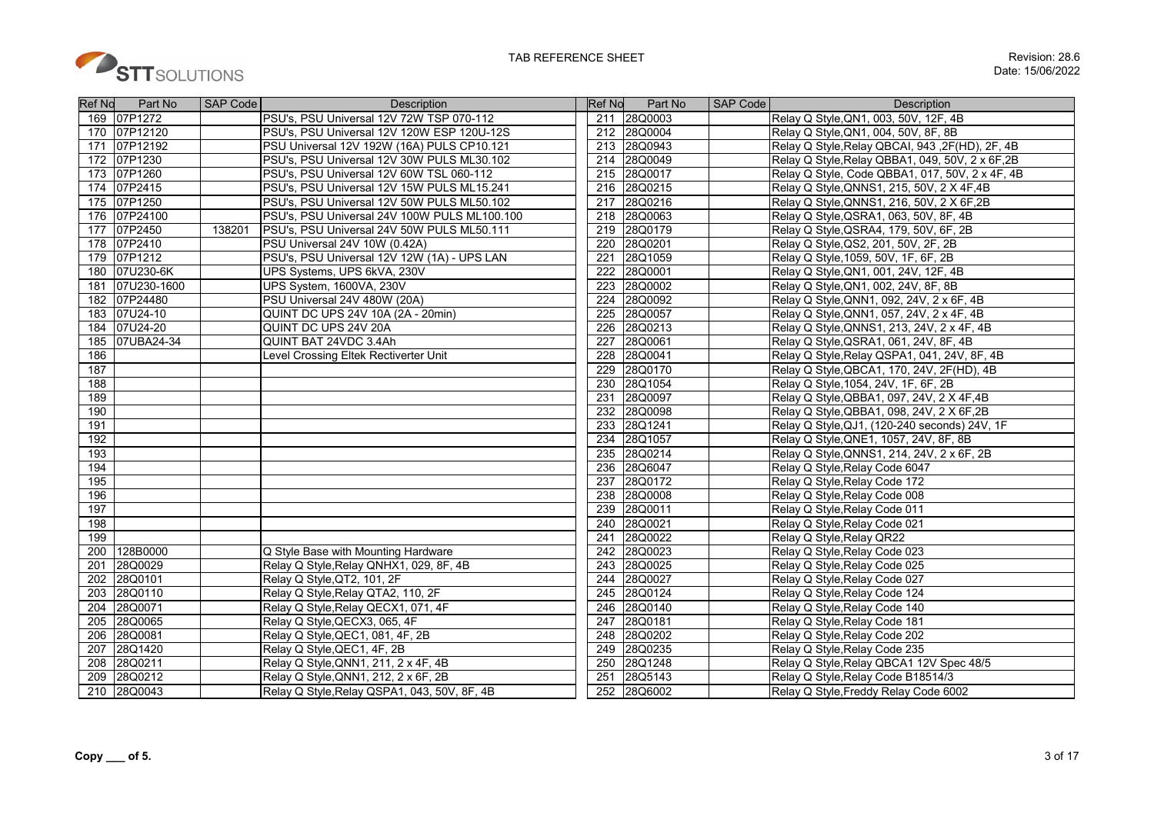

| <b>Ref No</b> | Part No      | <b>SAP Code</b> | <b>Description</b>                           | <b>Ref No</b> | Part No | SAP Code<br><b>Description</b>                   |
|---------------|--------------|-----------------|----------------------------------------------|---------------|---------|--------------------------------------------------|
|               | 169 07P1272  |                 | PSU's, PSU Universal 12V 72W TSP 070-112     | 211           | 28Q0003 | Relay Q Style, QN1, 003, 50V, 12F, 4B            |
|               | 170 07P12120 |                 | PSU's, PSU Universal 12V 120W ESP 120U-12S   | 212           | 28Q0004 | Relay Q Style, QN1, 004, 50V, 8F, 8B             |
| 171           | 07P12192     |                 | PSU Universal 12V 192W (16A) PULS CP10.121   | 213           | 28Q0943 | Relay Q Style, Relay QBCAI, 943, 2F(HD), 2F, 4B  |
|               | 172 07P1230  |                 | PSU's, PSU Universal 12V 30W PULS ML30.102   | 214           | 28Q0049 | Relay Q Style, Relay QBBA1, 049, 50V, 2 x 6F, 2B |
|               | 173 07P1260  |                 | PSU's, PSU Universal 12V 60W TSL 060-112     | 215           | 28Q0017 | Relay Q Style, Code QBBA1, 017, 50V, 2 x 4F, 4B  |
|               | 174 07P2415  |                 | PSU's, PSU Universal 12V 15W PULS ML15.241   | 216           | 28Q0215 | Relay Q Style, QNNS1, 215, 50V, 2 X 4F, 4B       |
|               | 175 07P1250  |                 | PSU's, PSU Universal 12V 50W PULS ML50.102   | 217           | 28Q0216 | Relay Q Style, QNNS1, 216, 50V, 2 X 6F, 2B       |
|               | 176 07P24100 |                 | PSU's, PSU Universal 24V 100W PULS ML100.100 | 218           | 28Q0063 | Relay Q Style, QSRA1, 063, 50V, 8F, 4B           |
| 177           | 07P2450      | 138201          | PSU's, PSU Universal 24V 50W PULS ML50.111   | 219           | 28Q0179 | Relay Q Style, QSRA4, 179, 50V, 6F, 2B           |
| 178           | 07P2410      |                 | PSU Universal 24V 10W (0.42A)                | 220           | 28Q0201 | Relay Q Style, QS2, 201, 50V, 2F, 2B             |
| 179           | 07P1212      |                 | PSU's, PSU Universal 12V 12W (1A) - UPS LAN  | 221           | 28Q1059 | Relay Q Style, 1059, 50V, 1F, 6F, 2B             |
| 180           | 07U230-6K    |                 | UPS Systems, UPS 6kVA, 230V                  | 222           | 28Q0001 | Relay Q Style, QN1, 001, 24V, 12F, 4B            |
| 181           | 07U230-1600  |                 | UPS System, 1600VA, 230V                     | 223           | 28Q0002 | Relay Q Style, QN1, 002, 24V, 8F, 8B             |
| 182           | 07P24480     |                 | PSU Universal 24V 480W (20A)                 | 224           | 28Q0092 | Relay Q Style, QNN1, 092, 24V, 2 x 6F, 4B        |
| 183           | 07U24-10     |                 | QUINT DC UPS 24V 10A (2A - 20min)            | 225           | 28Q0057 | Relay Q Style, QNN1, 057, 24V, 2 x 4F, 4B        |
| 184           | 07U24-20     |                 | QUINT DC UPS 24V 20A                         | 226           | 28Q0213 | Relay Q Style, QNNS1, 213, 24V, 2 x 4F, 4B       |
| 185           | 07UBA24-34   |                 | QUINT BAT 24VDC 3.4Ah                        | 227           | 28Q0061 | Relay Q Style, QSRA1, 061, 24V, 8F, 4B           |
| 186           |              |                 | Level Crossing Eltek Rectiverter Unit        | 228           | 28Q0041 | Relay Q Style, Relay QSPA1, 041, 24V, 8F, 4B     |
| 187           |              |                 |                                              | 229           | 28Q0170 | Relay Q Style, QBCA1, 170, 24V, 2F(HD), 4B       |
| 188           |              |                 |                                              | 230           | 28Q1054 | Relay Q Style, 1054, 24V, 1F, 6F, 2B             |
| 189           |              |                 |                                              | 231           | 28Q0097 | Relay Q Style, QBBA1, 097, 24V, 2 X 4F, 4B       |
| 190           |              |                 |                                              | 232           | 28Q0098 | Relay Q Style, QBBA1, 098, 24V, 2 X 6F, 2B       |
| 191           |              |                 |                                              | 233           | 28Q1241 | Relay Q Style, QJ1, (120-240 seconds) 24V, 1F    |
| 192           |              |                 |                                              | 234           | 28Q1057 | Relay Q Style, QNE1, 1057, 24V, 8F, 8B           |
| 193           |              |                 |                                              | 235           | 28Q0214 | Relay Q Style, QNNS1, 214, 24V, 2 x 6F, 2B       |
| 194           |              |                 |                                              | 236           | 28Q6047 | Relay Q Style, Relay Code 6047                   |
| 195           |              |                 |                                              | 237           | 28Q0172 | Relay Q Style, Relay Code 172                    |
| 196           |              |                 |                                              | 238           | 28Q0008 | Relay Q Style, Relay Code 008                    |
| 197           |              |                 |                                              | 239           | 28Q0011 | Relay Q Style, Relay Code 011                    |
| 198           |              |                 |                                              | 240           | 28Q0021 | Relay Q Style, Relay Code 021                    |
| 199           |              |                 |                                              | 241           | 28Q0022 | Relay Q Style, Relay QR22                        |
| 200           | 128B0000     |                 | Q Style Base with Mounting Hardware          | 242           | 28Q0023 | Relay Q Style, Relay Code 023                    |
| 201           | 28Q0029      |                 | Relay Q Style, Relay QNHX1, 029, 8F, 4B      | 243           | 28Q0025 | Relay Q Style, Relay Code 025                    |
| 202           | 28Q0101      |                 | Relay Q Style, QT2, 101, 2F                  | 244           | 28Q0027 | Relay Q Style, Relay Code 027                    |
| 203           | 28Q0110      |                 | Relay Q Style, Relay QTA2, 110, 2F           | 245           | 28Q0124 | Relay Q Style, Relay Code 124                    |
| 204           | 28Q0071      |                 | Relay Q Style, Relay QECX1, 071, 4F          | 246           | 28Q0140 | Relay Q Style, Relay Code 140                    |
| 205           | 28Q0065      |                 | Relay Q Style, QECX3, 065, 4F                | 247           | 28Q0181 | Relay Q Style, Relay Code 181                    |
| 206           | 28Q0081      |                 | Relay Q Style, QEC1, 081, 4F, 2B             | 248           | 28Q0202 | Relay Q Style, Relay Code 202                    |
| 207           | 28Q1420      |                 | Relay Q Style, QEC1, 4F, 2B                  | 249           | 28Q0235 | Relay Q Style, Relay Code 235                    |
| 208           | 28Q0211      |                 | Relay Q Style, QNN1, 211, 2 x 4F, 4B         | 250           | 28Q1248 | Relay Q Style, Relay QBCA1 12V Spec 48/5         |
| 209           | 28Q0212      |                 | Relay Q Style, QNN1, 212, 2 x 6F, 2B         | 251           | 28Q5143 | Relay Q Style, Relay Code B18514/3               |
|               | 210 28Q0043  |                 | Relay Q Style, Relay QSPA1, 043, 50V, 8F, 4B | 252           | 28Q6002 | Relay Q Style, Freddy Relay Code 6002            |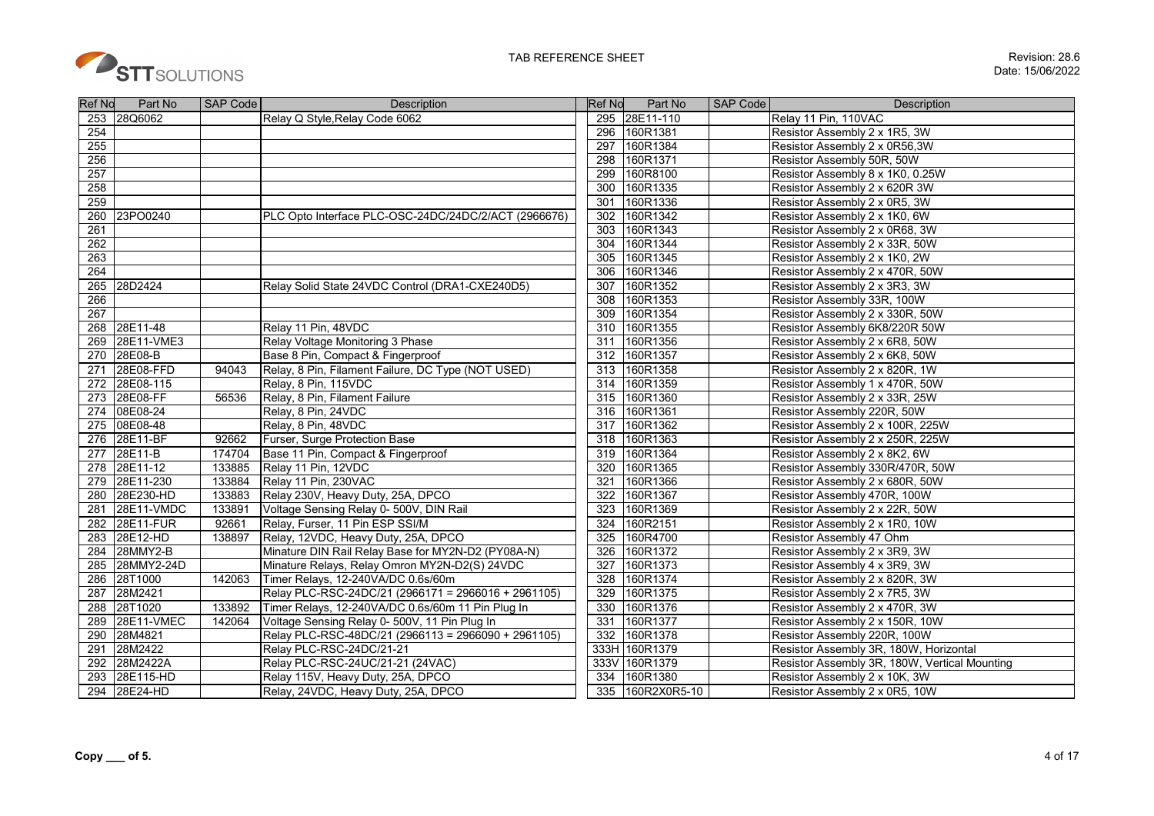

| <b>Ref No</b>    | Part No       | <b>SAP Code</b> | <b>Description</b>                                   |      | Part No<br><b>Ref No</b> | SAP Code | <b>Description</b>                            |
|------------------|---------------|-----------------|------------------------------------------------------|------|--------------------------|----------|-----------------------------------------------|
| 253              | 28Q6062       |                 | Relay Q Style, Relay Code 6062                       | 295  | 28E11-110                |          | Relay 11 Pin, 110VAC                          |
| 254              |               |                 |                                                      | 296  | 160R1381                 |          | Resistor Assembly 2 x 1R5, 3W                 |
| 255              |               |                 |                                                      | 297  | 160R1384                 |          | Resistor Assembly 2 x 0R56,3W                 |
| 256              |               |                 |                                                      | 298  | 160R1371                 |          | Resistor Assembly 50R, 50W                    |
| 257              |               |                 |                                                      | 299  | 160R8100                 |          | Resistor Assembly 8 x 1K0, 0.25W              |
| 258              |               |                 |                                                      | 300  | 160R1335                 |          | Resistor Assembly 2 x 620R 3W                 |
| 259              |               |                 |                                                      | 301  | 160R1336                 |          | Resistor Assembly 2 x 0R5, 3W                 |
| 260              | 23PO0240      |                 | PLC Opto Interface PLC-OSC-24DC/24DC/2/ACT (2966676) | 302  | 160R1342                 |          | Resistor Assembly 2 x 1K0, 6W                 |
| 261              |               |                 |                                                      | 303  | 160R1343                 |          | Resistor Assembly 2 x 0R68, 3W                |
| 262              |               |                 |                                                      | 304  | 160R1344                 |          | Resistor Assembly 2 x 33R, 50W                |
| $\overline{263}$ |               |                 |                                                      | 305  | 160R1345                 |          | Resistor Assembly 2 x 1K0, 2W                 |
| 264              |               |                 |                                                      | 306  | 160R1346                 |          | Resistor Assembly 2 x 470R, 50W               |
|                  | 265 28D2424   |                 | Relay Solid State 24VDC Control (DRA1-CXE240D5)      | 307  | 160R1352                 |          | Resistor Assembly 2 x 3R3, 3W                 |
| 266              |               |                 |                                                      | 308  | 160R1353                 |          | Resistor Assembly 33R, 100W                   |
| 267              |               |                 |                                                      | 309  | 160R1354                 |          | Resistor Assembly 2 x 330R, 50W               |
| 268              | 28E11-48      |                 | Relay 11 Pin, 48VDC                                  | 310  | 160R1355                 |          | Resistor Assembly 6K8/220R 50W                |
| 269              | 28E11-VME3    |                 | Relay Voltage Monitoring 3 Phase                     | 311  | 160R1356                 |          | Resistor Assembly 2 x 6R8, 50W                |
| 270              | 28E08-B       |                 | Base 8 Pin, Compact & Fingerproof                    | 312  | 160R1357                 |          | Resistor Assembly 2 x 6K8, 50W                |
| 271              | 28E08-FFD     | 94043           | Relay, 8 Pin, Filament Failure, DC Type (NOT USED)   | 313  | 160R1358                 |          | Resistor Assembly 2 x 820R, 1W                |
|                  | 272 28E08-115 |                 | Relay, 8 Pin, 115VDC                                 | 314  | 160R1359                 |          | Resistor Assembly 1 x 470R, 50W               |
| 273              | 28E08-FF      | 56536           | Relay, 8 Pin, Filament Failure                       | 315  | 160R1360                 |          | Resistor Assembly 2 x 33R, 25W                |
| 274              | 08E08-24      |                 | Relay, 8 Pin, 24VDC                                  | 316  | 160R1361                 |          | Resistor Assembly 220R, 50W                   |
| 275              | 08E08-48      |                 | Relay, 8 Pin, 48VDC                                  | 317  | 160R1362                 |          | Resistor Assembly 2 x 100R, 225W              |
| 276              | 28E11-BF      | 92662           | Furser, Surge Protection Base                        | 318  | 160R1363                 |          | Resistor Assembly 2 x 250R, 225W              |
| 277              | 28E11-B       | 174704          | Base 11 Pin, Compact & Fingerproof                   | 319  | 160R1364                 |          | Resistor Assembly 2 x 8K2, 6W                 |
| 278              | 28E11-12      | 133885          | Relay 11 Pin, 12VDC                                  | 320  | 160R1365                 |          | Resistor Assembly 330R/470R, 50W              |
| 279              | 28E11-230     | 133884          | Relay 11 Pin, 230VAC                                 | 321  | 160R1366                 |          | Resistor Assembly 2 x 680R, 50W               |
| 280              | 28E230-HD     | 133883          | Relay 230V, Heavy Duty, 25A, DPCO                    | 322  | 160R1367                 |          | Resistor Assembly 470R, 100W                  |
| 281              | 28E11-VMDC    | 133891          | Voltage Sensing Relay 0- 500V, DIN Rail              | 323  | 160R1369                 |          | Resistor Assembly 2 x 22R, 50W                |
| 282              | 28E11-FUR     | 92661           | Relay, Furser, 11 Pin ESP SSI/M                      | 324  | 160R2151                 |          | Resistor Assembly 2 x 1R0, 10W                |
|                  | 283 28E12-HD  | 138897          | Relay, 12VDC, Heavy Duty, 25A, DPCO                  | 325  | 160R4700                 |          | Resistor Assembly 47 Ohm                      |
|                  | 284 28MMY2-B  |                 | Minature DIN Rail Relay Base for MY2N-D2 (PY08A-N)   | 326  | 160R1372                 |          | Resistor Assembly 2 x 3R9, 3W                 |
| 285              | 28MMY2-24D    |                 | Minature Relays, Relay Omron MY2N-D2(S) 24VDC        | 327  | 160R1373                 |          | Resistor Assembly 4 x 3R9, 3W                 |
| 286              | 28T1000       | 142063          | Timer Relays, 12-240VA/DC 0.6s/60m                   | 328  | 160R1374                 |          | Resistor Assembly 2 x 820R, 3W                |
| 287              | 28M2421       |                 | Relay PLC-RSC-24DC/21 (2966171 = 2966016 + 2961105)  | 329  | 160R1375                 |          | Resistor Assembly 2 x 7R5, 3W                 |
| 288              | 28T1020       | 133892          | Timer Relays, 12-240VA/DC 0.6s/60m 11 Pin Plug In    | 330  | 160R1376                 |          | Resistor Assembly 2 x 470R, 3W                |
| 289              | 28E11-VMEC    | 142064          | Voltage Sensing Relay 0-500V, 11 Pin Plug In         | 331  | 160R1377                 |          | Resistor Assembly 2 x 150R, 10W               |
| 290              | 28M4821       |                 | Relay PLC-RSC-48DC/21 (2966113 = 2966090 + 2961105)  | 332  | 160R1378                 |          | Resistor Assembly 220R, 100W                  |
| 291              | 28M2422       |                 | Relay PLC-RSC-24DC/21-21                             |      | 333H<br>160R1379         |          | Resistor Assembly 3R, 180W, Horizontal        |
| 292              | 28M2422A      |                 | Relay PLC-RSC-24UC/21-21 (24VAC)                     | 333V | 160R1379                 |          | Resistor Assembly 3R, 180W, Vertical Mounting |
| 293              | 28E115-HD     |                 | Relay 115V, Heavy Duty, 25A, DPCO                    | 334  | 160R1380                 |          | Resistor Assembly 2 x 10K, 3W                 |
| 294              | 28E24-HD      |                 | Relay, 24VDC, Heavy Duty, 25A, DPCO                  |      | 160R2X0R5-10<br>335      |          | Resistor Assembly 2 x 0R5, 10W                |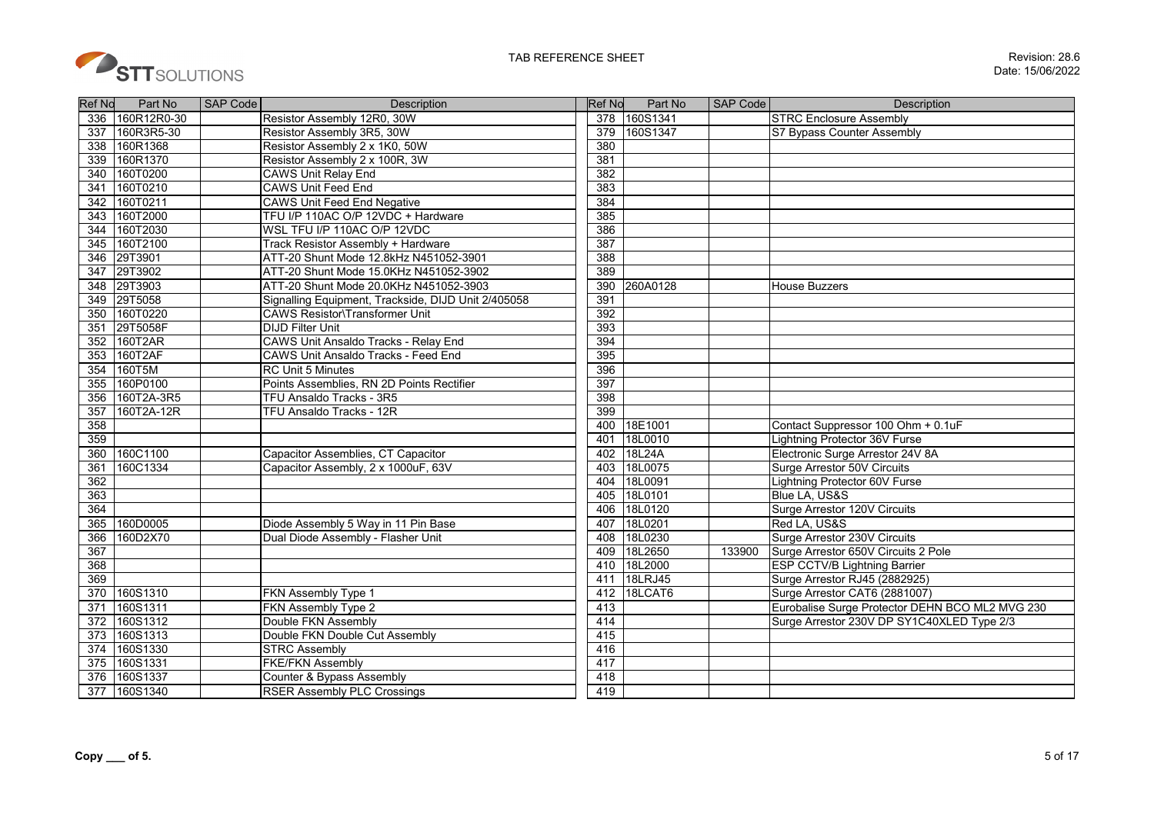

| <b>Ref No</b>    | Part No     | <b>SAP Code</b> | <b>Description</b>                                  | <b>Ref No</b> | Part No      | <b>SAP Code</b> | <b>Description</b>                              |
|------------------|-------------|-----------------|-----------------------------------------------------|---------------|--------------|-----------------|-------------------------------------------------|
| 336              | 160R12R0-30 |                 | Resistor Assembly 12R0, 30W                         |               | 378 160S1341 |                 | <b>STRC Enclosure Assembly</b>                  |
| 337              | 160R3R5-30  |                 | Resistor Assembly 3R5, 30W                          | 379           | 160S1347     |                 | S7 Bypass Counter Assembly                      |
| 338              | 160R1368    |                 | Resistor Assembly 2 x 1K0, 50W                      | 380           |              |                 |                                                 |
| 339              | 160R1370    |                 | Resistor Assembly 2 x 100R, 3W                      | 381           |              |                 |                                                 |
| 340              | 160T0200    |                 | <b>CAWS Unit Relay End</b>                          | 382           |              |                 |                                                 |
| 341              | 160T0210    |                 | <b>CAWS Unit Feed End</b>                           | 383           |              |                 |                                                 |
| 342              | 160T0211    |                 | <b>CAWS Unit Feed End Negative</b>                  | 384           |              |                 |                                                 |
| 343              | 160T2000    |                 | TFU I/P 110AC O/P 12VDC + Hardware                  | 385           |              |                 |                                                 |
| 344              | 160T2030    |                 | WSL TFU I/P 110AC O/P 12VDC                         | 386           |              |                 |                                                 |
| 345              | 160T2100    |                 | Track Resistor Assembly + Hardware                  | 387           |              |                 |                                                 |
| 346              | 29T3901     |                 | ATT-20 Shunt Mode 12.8kHz N451052-3901              | 388           |              |                 |                                                 |
| 347              | 29T3902     |                 | ATT-20 Shunt Mode 15.0KHz N451052-3902              | 389           |              |                 |                                                 |
|                  | 348 29T3903 |                 | ATT-20 Shunt Mode 20.0KHz N451052-3903              | 390           | 260A0128     |                 | <b>House Buzzers</b>                            |
| 349              | 29T5058     |                 | Signalling Equipment, Trackside, DIJD Unit 2/405058 | 391           |              |                 |                                                 |
| 350              | 160T0220    |                 | <b>CAWS Resistor\Transformer Unit</b>               | 392           |              |                 |                                                 |
| 351              | 29T5058F    |                 | <b>DIJD Filter Unit</b>                             | 393           |              |                 |                                                 |
| 352              | 160T2AR     |                 | CAWS Unit Ansaldo Tracks - Relay End                | 394           |              |                 |                                                 |
| 353              | 160T2AF     |                 | CAWS Unit Ansaldo Tracks - Feed End                 | 395           |              |                 |                                                 |
| 354              | 160T5M      |                 | <b>RC Unit 5 Minutes</b>                            | 396           |              |                 |                                                 |
| 355              | 160P0100    |                 | Points Assemblies, RN 2D Points Rectifier           | 397           |              |                 |                                                 |
| 356              | 160T2A-3R5  |                 | TFU Ansaldo Tracks - 3R5                            | 398           |              |                 |                                                 |
| 357              | 160T2A-12R  |                 | TFU Ansaldo Tracks - 12R                            | 399           |              |                 |                                                 |
| 358              |             |                 |                                                     | 400           | 18E1001      |                 | Contact Suppressor 100 Ohm + 0.1uF              |
| 359              |             |                 |                                                     | 401           | 18L0010      |                 | <b>Lightning Protector 36V Furse</b>            |
| 360              | 160C1100    |                 | Capacitor Assemblies, CT Capacitor                  | 402           | 18L24A       |                 | Electronic Surge Arrestor 24V 8A                |
| 361              | 160C1334    |                 | Capacitor Assembly, 2 x 1000uF, 63V                 | 403           | 18L0075      |                 | Surge Arrestor 50V Circuits                     |
| 362              |             |                 |                                                     | 404           | 18L0091      |                 | <b>Lightning Protector 60V Furse</b>            |
| 363              |             |                 |                                                     | 405           | 18L0101      |                 | Blue LA, US&S                                   |
| 364              |             |                 |                                                     | 406           | 18L0120      |                 | Surge Arrestor 120V Circuits                    |
| 365              | 160D0005    |                 | Diode Assembly 5 Way in 11 Pin Base                 | 407           | 18L0201      |                 | Red LA, US&S                                    |
| 366              | 160D2X70    |                 | Dual Diode Assembly - Flasher Unit                  | 408           | 18L0230      |                 | Surge Arrestor 230V Circuits                    |
| 367              |             |                 |                                                     | 409           | 18L2650      | 133900          | Surge Arrestor 650V Circuits 2 Pole             |
| 368              |             |                 |                                                     | 410           | 18L2000      |                 | <b>ESP CCTV/B Lightning Barrier</b>             |
| 369              |             |                 |                                                     | 411           | 18LRJ45      |                 | Surge Arrestor RJ45 (2882925)                   |
| 370              | 160S1310    |                 | FKN Assembly Type 1                                 | 412           | 18LCAT6      |                 | Surge Arrestor CAT6 (2881007)                   |
| 371              | 160S1311    |                 | FKN Assembly Type 2                                 | 413           |              |                 | Eurobalise Surge Protector DEHN BCO ML2 MVG 230 |
| 372              | 160S1312    |                 | Double FKN Assembly                                 | 414           |              |                 | Surge Arrestor 230V DP SY1C40XLED Type 2/3      |
| 373              | 160S1313    |                 | Double FKN Double Cut Assembly                      | 415           |              |                 |                                                 |
| 374              | 160S1330    |                 | <b>STRC Assembly</b>                                | 416           |              |                 |                                                 |
| 375              | 160S1331    |                 | <b>FKE/FKN Assembly</b>                             | 417           |              |                 |                                                 |
| $\overline{376}$ | 160S1337    |                 | Counter & Bypass Assembly                           | 418           |              |                 |                                                 |
| 377              | 160S1340    |                 | <b>RSER Assembly PLC Crossings</b>                  | 419           |              |                 |                                                 |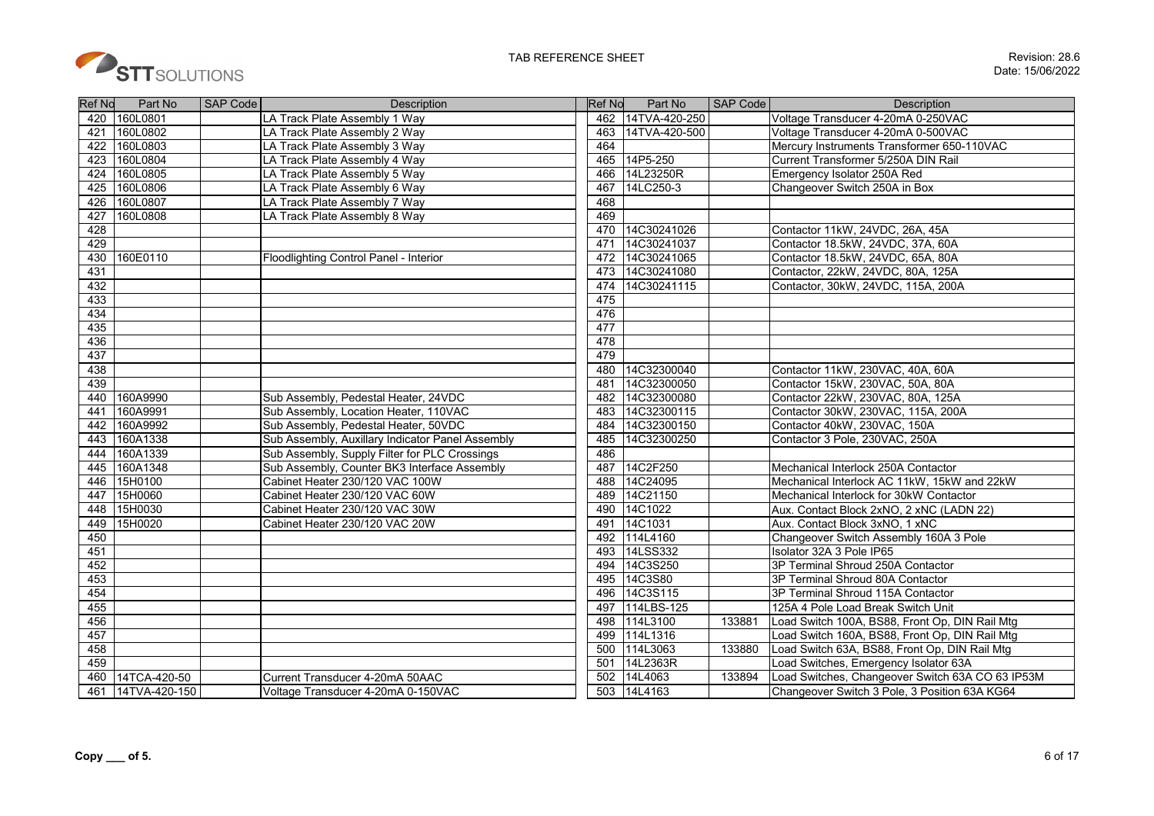

| <b>Ref No</b> | Part No           | SAP Code | <b>Description</b>                               | <b>Ref No</b> | Part No           | SAP Code | Description                                      |
|---------------|-------------------|----------|--------------------------------------------------|---------------|-------------------|----------|--------------------------------------------------|
| 420           | 160L0801          |          | LA Track Plate Assembly 1 Way                    |               | 462 14TVA-420-250 |          | Voltage Transducer 4-20mA 0-250VAC               |
| 421           | 160L0802          |          | LA Track Plate Assembly 2 Way                    | 463           | 14TVA-420-500     |          | Voltage Transducer 4-20mA 0-500VAC               |
| 422           | 160L0803          |          | LA Track Plate Assembly 3 Way                    | 464           |                   |          | Mercury Instruments Transformer 650-110VAC       |
| 423           | 160L0804          |          | LA Track Plate Assembly 4 Way                    | 465           | 14P5-250          |          | Current Transformer 5/250A DIN Rail              |
| 424           | 160L0805          |          | LA Track Plate Assembly 5 Way                    | 466           | 14L23250R         |          | Emergency Isolator 250A Red                      |
| 425           | 160L0806          |          | LA Track Plate Assembly 6 Way                    | 467           | 14LC250-3         |          | Changeover Switch 250A in Box                    |
| 426           | 160L0807          |          | LA Track Plate Assembly 7 Way                    | 468           |                   |          |                                                  |
| 427           | 160L0808          |          | LA Track Plate Assembly 8 Way                    | 469           |                   |          |                                                  |
| 428           |                   |          |                                                  | 470           | 14C30241026       |          | Contactor 11kW, 24VDC, 26A, 45A                  |
| 429           |                   |          |                                                  | 471           | 14C30241037       |          | Contactor 18.5kW, 24VDC, 37A, 60A                |
| 430           | 160E0110          |          | Floodlighting Control Panel - Interior           | 472           | 14C30241065       |          | Contactor 18.5kW, 24VDC, 65A, 80A                |
| 431           |                   |          |                                                  | 473           | 14C30241080       |          | Contactor, 22kW, 24VDC, 80A, 125A                |
| 432           |                   |          |                                                  | 474           | 14C30241115       |          | Contactor, 30kW, 24VDC, 115A, 200A               |
| 433           |                   |          |                                                  | 475           |                   |          |                                                  |
| 434           |                   |          |                                                  | 476           |                   |          |                                                  |
| 435           |                   |          |                                                  | 477           |                   |          |                                                  |
| 436           |                   |          |                                                  | 478           |                   |          |                                                  |
| 437           |                   |          |                                                  | 479           |                   |          |                                                  |
| 438           |                   |          |                                                  | 480           | 14C32300040       |          | Contactor 11kW, 230VAC, 40A, 60A                 |
| 439           |                   |          |                                                  | 481           | 14C32300050       |          | Contactor 15kW, 230VAC, 50A, 80A                 |
| 440           | 160A9990          |          | Sub Assembly, Pedestal Heater, 24VDC             | 482           | 14C32300080       |          | Contactor 22kW, 230VAC, 80A, 125A                |
| 441           | 160A9991          |          | Sub Assembly, Location Heater, 110VAC            | 483           | 14C32300115       |          | Contactor 30kW, 230VAC, 115A, 200A               |
| 442           | 160A9992          |          | Sub Assembly, Pedestal Heater, 50VDC             | 484           | 14C32300150       |          | Contactor 40kW, 230VAC, 150A                     |
| 443           | 160A1338          |          | Sub Assembly, Auxillary Indicator Panel Assembly | 485           | 14C32300250       |          | Contactor 3 Pole, 230VAC, 250A                   |
| 444           | 160A1339          |          | Sub Assembly, Supply Filter for PLC Crossings    | 486           |                   |          |                                                  |
| 445           | 160A1348          |          | Sub Assembly, Counter BK3 Interface Assembly     | 487           | 14C2F250          |          | Mechanical Interlock 250A Contactor              |
| 446           | 15H0100           |          | Cabinet Heater 230/120 VAC 100W                  | 488           | 14C24095          |          | Mechanical Interlock AC 11kW, 15kW and 22kW      |
| 447           | 15H0060           |          | Cabinet Heater 230/120 VAC 60W                   | 489           | 14C21150          |          | Mechanical Interlock for 30kW Contactor          |
| 448           | 15H0030           |          | Cabinet Heater 230/120 VAC 30W                   | 490           | 14C1022           |          | Aux. Contact Block 2xNO, 2 xNC (LADN 22)         |
| 449           | 15H0020           |          | Cabinet Heater 230/120 VAC 20W                   | 491           | 14C1031           |          | Aux. Contact Block 3xNO, 1 xNC                   |
| 450           |                   |          |                                                  | 492           | 114L4160          |          | Changeover Switch Assembly 160A 3 Pole           |
| 451           |                   |          |                                                  | 493           | 14LSS332          |          | Isolator 32A 3 Pole IP65                         |
| 452           |                   |          |                                                  | 494           | 14C3S250          |          | 3P Terminal Shroud 250A Contactor                |
| 453           |                   |          |                                                  | 495           | 14C3S80           |          | 3P Terminal Shroud 80A Contactor                 |
| 454           |                   |          |                                                  | 496           | 14C3S115          |          | 3P Terminal Shroud 115A Contactor                |
| 455           |                   |          |                                                  | 497           | 114LBS-125        |          | 125A 4 Pole Load Break Switch Unit               |
| 456           |                   |          |                                                  | 498           | 114L3100          | 133881   | Load Switch 100A, BS88, Front Op, DIN Rail Mtg   |
| 457           |                   |          |                                                  |               | 499 114L1316      |          | Load Switch 160A, BS88, Front Op, DIN Rail Mtg   |
| 458           |                   |          |                                                  | 500           | 114L3063          | 133880   | Load Switch 63A, BS88, Front Op, DIN Rail Mtg    |
| 459           |                   |          |                                                  | 501           | 14L2363R          |          | Load Switches, Emergency Isolator 63A            |
| 460           | 14TCA-420-50      |          | Current Transducer 4-20mA 50AAC                  | 502           | 14L4063           | 133894   | Load Switches, Changeover Switch 63A CO 63 IP53M |
|               | 461 14TVA-420-150 |          | Voltage Transducer 4-20mA 0-150VAC               |               | 503 14L4163       |          | Changeover Switch 3 Pole, 3 Position 63A KG64    |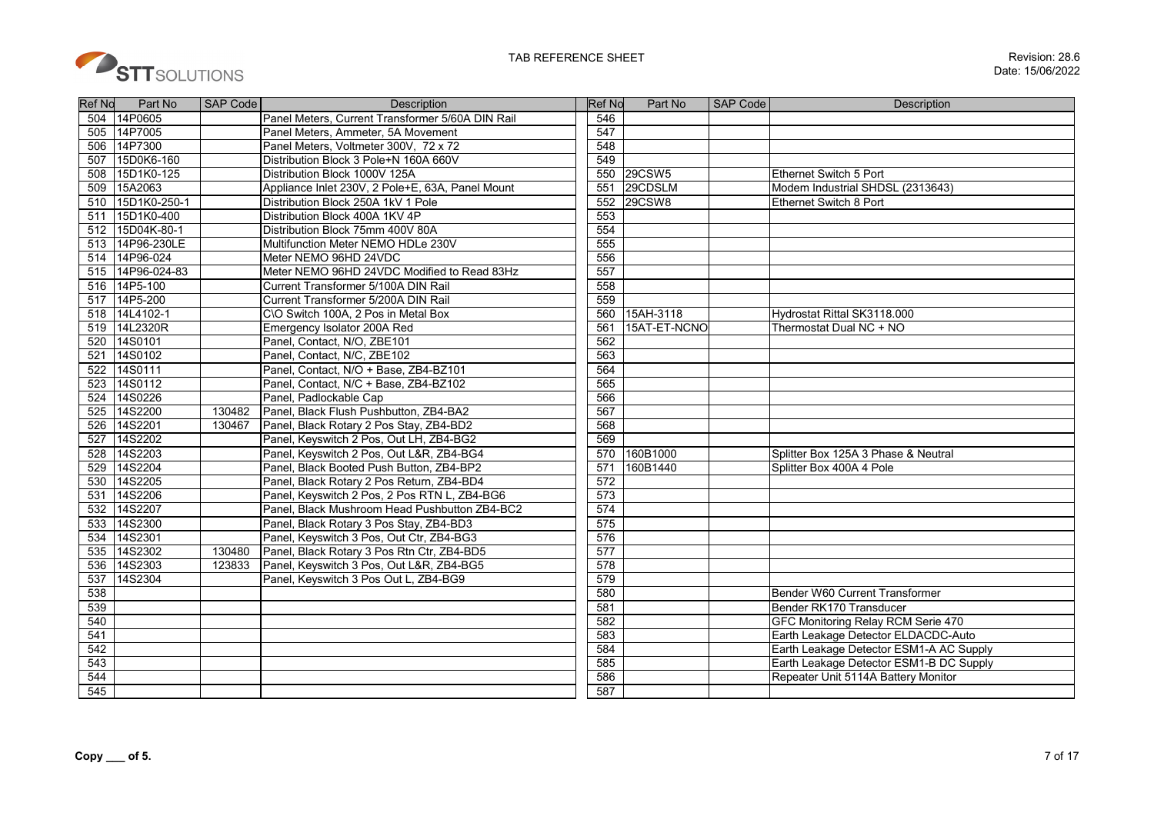

| <b>Ref No</b> | Part No         | SAP Code | Description                                      | <b>Ref No</b> | Part No       | SAP Code | Description                             |
|---------------|-----------------|----------|--------------------------------------------------|---------------|---------------|----------|-----------------------------------------|
|               | 504 14P0605     |          | Panel Meters, Current Transformer 5/60A DIN Rail | 546           |               |          |                                         |
| 505           | 14P7005         |          | Panel Meters. Ammeter, 5A Movement               | 547           |               |          |                                         |
| 506           | 14P7300         |          | Panel Meters, Voltmeter 300V, 72 x 72            | 548           |               |          |                                         |
| 507           | 15D0K6-160      |          | Distribution Block 3 Pole+N 160A 660V            | 549           |               |          |                                         |
| 508           | 15D1K0-125      |          | Distribution Block 1000V 125A                    |               | 550 29CSW5    |          | <b>Ethernet Switch 5 Port</b>           |
| 509           | 15A2063         |          | Appliance Inlet 230V, 2 Pole+E, 63A, Panel Mount | 551           | 29CDSLM       |          | Modem Industrial SHDSL (2313643)        |
| 510           | 15D1K0-250-1    |          | Distribution Block 250A 1kV 1 Pole               | 552           | <b>29CSW8</b> |          | Ethernet Switch 8 Port                  |
| 511           | 15D1K0-400      |          | Distribution Block 400A 1KV 4P                   | 553           |               |          |                                         |
|               | 512 15D04K-80-1 |          | Distribution Block 75mm 400V 80A                 | 554           |               |          |                                         |
| 513           | 14P96-230LE     |          | Multifunction Meter NEMO HDLe 230V               | 555           |               |          |                                         |
|               | 514 14P96-024   |          | Meter NEMO 96HD 24VDC                            | 556           |               |          |                                         |
| 515           | 14P96-024-83    |          | Meter NEMO 96HD 24VDC Modified to Read 83Hz      | 557           |               |          |                                         |
| 516           | 14P5-100        |          | Current Transformer 5/100A DIN Rail              | 558           |               |          |                                         |
| 517           | 14P5-200        |          | Current Transformer 5/200A DIN Rail              | 559           |               |          |                                         |
|               | 518 14L4102-1   |          | C\O Switch 100A, 2 Pos in Metal Box              |               | 560 15AH-3118 |          | Hydrostat Rittal SK3118.000             |
|               | 519 14L2320R    |          | Emergency Isolator 200A Red                      | 561           | 15AT-ET-NCNO  |          | Thermostat Dual NC + NO                 |
| 520           | 14S0101         |          | Panel, Contact, N/O, ZBE101                      | 562           |               |          |                                         |
| 521           | 14S0102         |          | Panel, Contact, N/C, ZBE102                      | 563           |               |          |                                         |
| 522           | 14S0111         |          | Panel, Contact, N/O + Base, ZB4-BZ101            | 564           |               |          |                                         |
| 523           | 14S0112         |          | Panel, Contact, N/C + Base, ZB4-BZ102            | 565           |               |          |                                         |
| 524           | 14S0226         |          | Panel, Padlockable Cap                           | 566           |               |          |                                         |
| 525           | 14S2200         | 130482   | Panel, Black Flush Pushbutton, ZB4-BA2           | 567           |               |          |                                         |
| 526           | 14S2201         | 130467   | Panel, Black Rotary 2 Pos Stay, ZB4-BD2          | 568           |               |          |                                         |
| 527           | 14S2202         |          | Panel, Keyswitch 2 Pos, Out LH, ZB4-BG2          | 569           |               |          |                                         |
| 528           | 14S2203         |          | Panel, Keyswitch 2 Pos, Out L&R, ZB4-BG4         | 570           | 160B1000      |          | Splitter Box 125A 3 Phase & Neutral     |
| 529           | 14S2204         |          | Panel, Black Booted Push Button, ZB4-BP2         | 571           | 160B1440      |          | Splitter Box 400A 4 Pole                |
| 530           | 14S2205         |          | Panel, Black Rotary 2 Pos Return, ZB4-BD4        | 572           |               |          |                                         |
| 531           | 14S2206         |          | Panel, Keyswitch 2 Pos, 2 Pos RTN L, ZB4-BG6     | 573           |               |          |                                         |
| 532           | 14S2207         |          | Panel, Black Mushroom Head Pushbutton ZB4-BC2    | 574           |               |          |                                         |
| 533           | 14S2300         |          | Panel, Black Rotary 3 Pos Stay, ZB4-BD3          | 575           |               |          |                                         |
| 534           | 14S2301         |          | Panel, Keyswitch 3 Pos, Out Ctr, ZB4-BG3         | 576           |               |          |                                         |
| 535           | 14S2302         | 130480   | Panel, Black Rotary 3 Pos Rtn Ctr, ZB4-BD5       | 577           |               |          |                                         |
| 536           | 14S2303         | 123833   | Panel, Keyswitch 3 Pos, Out L&R, ZB4-BG5         | 578           |               |          |                                         |
| 537           | 14S2304         |          | Panel, Keyswitch 3 Pos Out L, ZB4-BG9            | 579           |               |          |                                         |
| 538           |                 |          |                                                  | 580           |               |          | Bender W60 Current Transformer          |
| 539           |                 |          |                                                  | 581           |               |          | Bender RK170 Transducer                 |
| 540           |                 |          |                                                  | 582           |               |          | GFC Monitoring Relay RCM Serie 470      |
| 541           |                 |          |                                                  | 583           |               |          | Earth Leakage Detector ELDACDC-Auto     |
| 542           |                 |          |                                                  | 584           |               |          | Earth Leakage Detector ESM1-A AC Supply |
| 543           |                 |          |                                                  | 585           |               |          | Earth Leakage Detector ESM1-B DC Supply |
| 544           |                 |          |                                                  | 586           |               |          | Repeater Unit 5114A Battery Monitor     |
| 545           |                 |          |                                                  | 587           |               |          |                                         |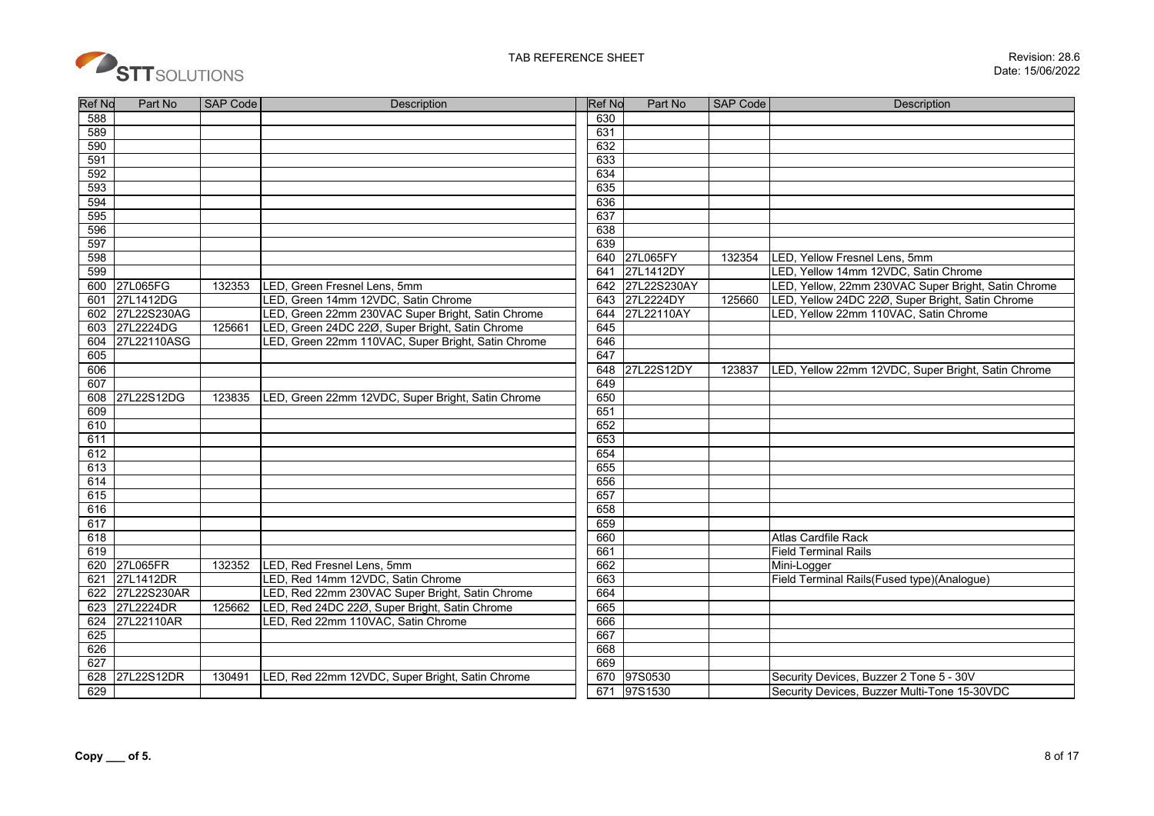

| <b>Ref No</b> | Part No     | <b>SAP Code</b> | <b>Description</b>                                 | <b>Ref No</b> | Part No       | <b>SAP Code</b> | <b>Description</b>                                  |
|---------------|-------------|-----------------|----------------------------------------------------|---------------|---------------|-----------------|-----------------------------------------------------|
| 588           |             |                 |                                                    | 630           |               |                 |                                                     |
| 589           |             |                 |                                                    | 631           |               |                 |                                                     |
| 590           |             |                 |                                                    | 632           |               |                 |                                                     |
| 591           |             |                 |                                                    | 633           |               |                 |                                                     |
| 592           |             |                 |                                                    | 634           |               |                 |                                                     |
| 593           |             |                 |                                                    | 635           |               |                 |                                                     |
| 594           |             |                 |                                                    | 636           |               |                 |                                                     |
| 595           |             |                 |                                                    | 637           |               |                 |                                                     |
| 596           |             |                 |                                                    | 638           |               |                 |                                                     |
| 597           |             |                 |                                                    | 639           |               |                 |                                                     |
| 598           |             |                 |                                                    | 640           | 27L065FY      | 132354          | LED, Yellow Fresnel Lens, 5mm                       |
| 599           |             |                 |                                                    | 641           | 27L1412DY     |                 | LED, Yellow 14mm 12VDC, Satin Chrome                |
| 600           | 27L065FG    | 132353          | LED, Green Fresnel Lens, 5mm                       | 642           | 27L22S230AY   |                 | LED, Yellow, 22mm 230VAC Super Bright, Satin Chrome |
| 601           | 27L1412DG   |                 | LED, Green 14mm 12VDC, Satin Chrome                |               | 643 27L2224DY | 125660          | LED, Yellow 24DC 22Ø, Super Bright, Satin Chrome    |
| 602           | 27L22S230AG |                 | LED, Green 22mm 230VAC Super Bright, Satin Chrome  | 644           | 27L22110AY    |                 | LED, Yellow 22mm 110VAC, Satin Chrome               |
| 603           | 27L2224DG   | 125661          | LED, Green 24DC 22Ø, Super Bright, Satin Chrome    | 645           |               |                 |                                                     |
| 604           | 27L22110ASG |                 | LED, Green 22mm 110VAC, Super Bright, Satin Chrome | 646           |               |                 |                                                     |
| 605           |             |                 |                                                    | 647           |               |                 |                                                     |
| 606           |             |                 |                                                    | 648           | 27L22S12DY    | 123837          | LED, Yellow 22mm 12VDC, Super Bright, Satin Chrome  |
| 607           |             |                 |                                                    | 649           |               |                 |                                                     |
| 608           | 27L22S12DG  | 123835          | LED, Green 22mm 12VDC, Super Bright, Satin Chrome  | 650           |               |                 |                                                     |
| 609           |             |                 |                                                    | 651           |               |                 |                                                     |
| 610           |             |                 |                                                    | 652           |               |                 |                                                     |
| 611           |             |                 |                                                    | 653           |               |                 |                                                     |
| 612           |             |                 |                                                    | 654           |               |                 |                                                     |
| 613           |             |                 |                                                    | 655           |               |                 |                                                     |
| 614           |             |                 |                                                    | 656           |               |                 |                                                     |
| 615           |             |                 |                                                    | 657           |               |                 |                                                     |
| 616           |             |                 |                                                    | 658           |               |                 |                                                     |
| 617           |             |                 |                                                    | 659           |               |                 |                                                     |
| 618           |             |                 |                                                    | 660           |               |                 | Atlas Cardfile Rack                                 |
| 619           |             |                 |                                                    | 661           |               |                 | <b>Field Terminal Rails</b>                         |
| 620           | 27L065FR    | 132352          | LED, Red Fresnel Lens, 5mm                         | 662           |               |                 | Mini-Logger                                         |
| 621           | 27L1412DR   |                 | LED, Red 14mm 12VDC, Satin Chrome                  | 663           |               |                 | Field Terminal Rails(Fused type)(Analogue)          |
| 622           | 27L22S230AR |                 | LED, Red 22mm 230VAC Super Bright, Satin Chrome    | 664           |               |                 |                                                     |
| 623           | 27L2224DR   | 125662          | LED, Red 24DC 22Ø, Super Bright, Satin Chrome      | 665           |               |                 |                                                     |
| 624           | 27L22110AR  |                 | LED, Red 22mm 110VAC, Satin Chrome                 | 666           |               |                 |                                                     |
| 625           |             |                 |                                                    | 667           |               |                 |                                                     |
| 626           |             |                 |                                                    | 668           |               |                 |                                                     |
| 627           |             |                 |                                                    | 669           |               |                 |                                                     |
| 628           | 27L22S12DR  | 130491          | LED, Red 22mm 12VDC, Super Bright, Satin Chrome    | 670           | 97S0530       |                 | Security Devices, Buzzer 2 Tone 5 - 30V             |
| 629           |             |                 |                                                    |               | 671 97S1530   |                 | Security Devices, Buzzer Multi-Tone 15-30VDC        |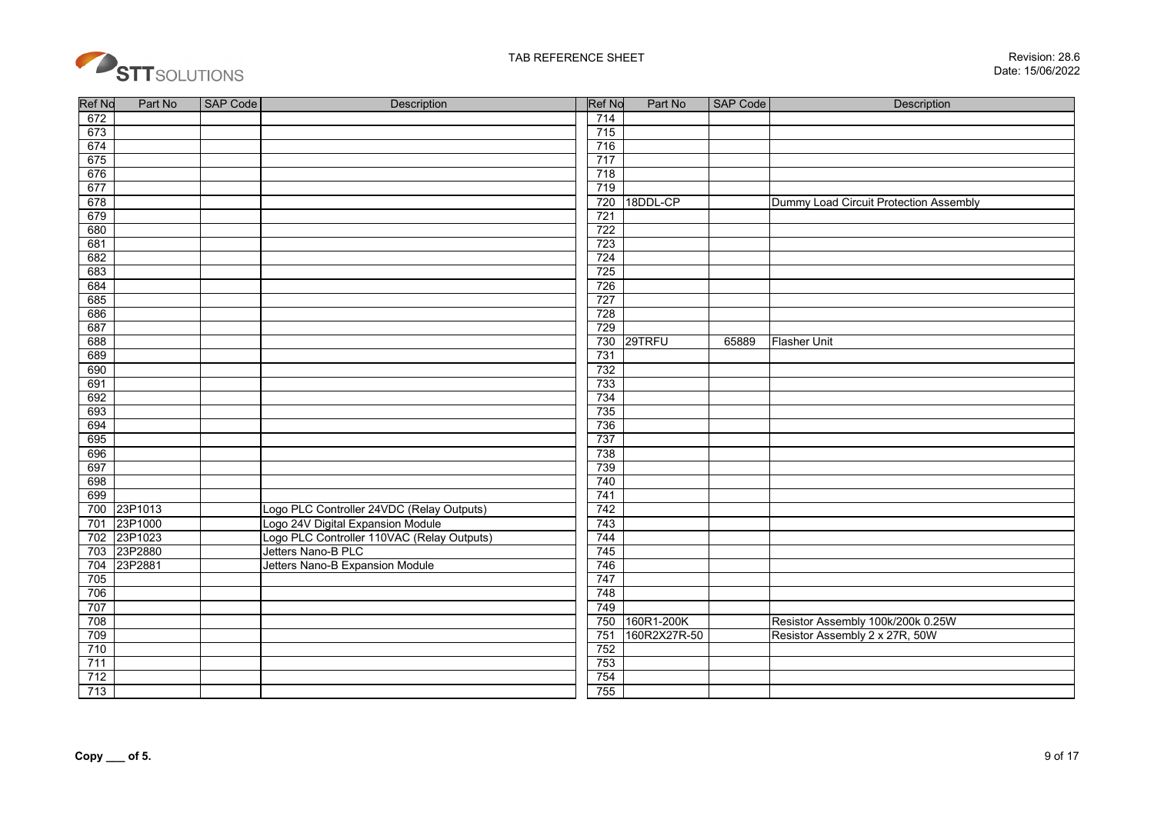

| Ref No      | Part No | <b>SAP Code</b> | Description                                | <b>Ref No</b> | Part No      | <b>SAP Code</b> | <b>Description</b>                     |
|-------------|---------|-----------------|--------------------------------------------|---------------|--------------|-----------------|----------------------------------------|
| 672         |         |                 |                                            | 714           |              |                 |                                        |
| 673         |         |                 |                                            | 715           |              |                 |                                        |
| 674         |         |                 |                                            | 716           |              |                 |                                        |
| 675         |         |                 |                                            | 717           |              |                 |                                        |
| 676         |         |                 |                                            | 718           |              |                 |                                        |
| 677         |         |                 |                                            | 719           |              |                 |                                        |
| 678         |         |                 |                                            | 720           | 18DDL-CP     |                 | Dummy Load Circuit Protection Assembly |
| 679         |         |                 |                                            | 721           |              |                 |                                        |
| 680         |         |                 |                                            | 722           |              |                 |                                        |
| 681         |         |                 |                                            | 723           |              |                 |                                        |
| 682         |         |                 |                                            | 724           |              |                 |                                        |
| 683         |         |                 |                                            | 725           |              |                 |                                        |
| 684         |         |                 |                                            | 726           |              |                 |                                        |
| 685         |         |                 |                                            | 727           |              |                 |                                        |
| 686         |         |                 |                                            | 728           |              |                 |                                        |
| 687         |         |                 |                                            | 729           |              |                 |                                        |
| 688         |         |                 |                                            | 730           | 29TRFU       | 65889           | <b>Flasher Unit</b>                    |
| 689         |         |                 |                                            | 731           |              |                 |                                        |
| 690         |         |                 |                                            | 732           |              |                 |                                        |
| 691         |         |                 |                                            | 733           |              |                 |                                        |
| 692         |         |                 |                                            | 734           |              |                 |                                        |
| 693         |         |                 |                                            | 735           |              |                 |                                        |
| 694         |         |                 |                                            | 736           |              |                 |                                        |
| 695         |         |                 |                                            | 737           |              |                 |                                        |
| 696         |         |                 |                                            | 738           |              |                 |                                        |
| 697         |         |                 |                                            | 739           |              |                 |                                        |
| 698         |         |                 |                                            | 740           |              |                 |                                        |
| 699         |         |                 |                                            | 741           |              |                 |                                        |
| 700 23P1013 |         |                 | Logo PLC Controller 24VDC (Relay Outputs)  | 742           |              |                 |                                        |
| 701         | 23P1000 |                 | Logo 24V Digital Expansion Module          | 743           |              |                 |                                        |
| 702         | 23P1023 |                 | Logo PLC Controller 110VAC (Relay Outputs) | 744           |              |                 |                                        |
| 703         | 23P2880 |                 | Jetters Nano-B PLC                         | 745           |              |                 |                                        |
| 704         | 23P2881 |                 | Jetters Nano-B Expansion Module            | 746           |              |                 |                                        |
| 705         |         |                 |                                            | 747           |              |                 |                                        |
| 706         |         |                 |                                            | 748           |              |                 |                                        |
| 707         |         |                 |                                            | 749           |              |                 |                                        |
| 708         |         |                 |                                            | 750           | 160R1-200K   |                 | Resistor Assembly 100k/200k 0.25W      |
| 709         |         |                 |                                            | 751           | 160R2X27R-50 |                 | Resistor Assembly 2 x 27R, 50W         |
| 710         |         |                 |                                            | 752           |              |                 |                                        |
| 711         |         |                 |                                            | 753           |              |                 |                                        |
| 712         |         |                 |                                            | 754           |              |                 |                                        |
| 713         |         |                 |                                            | 755           |              |                 |                                        |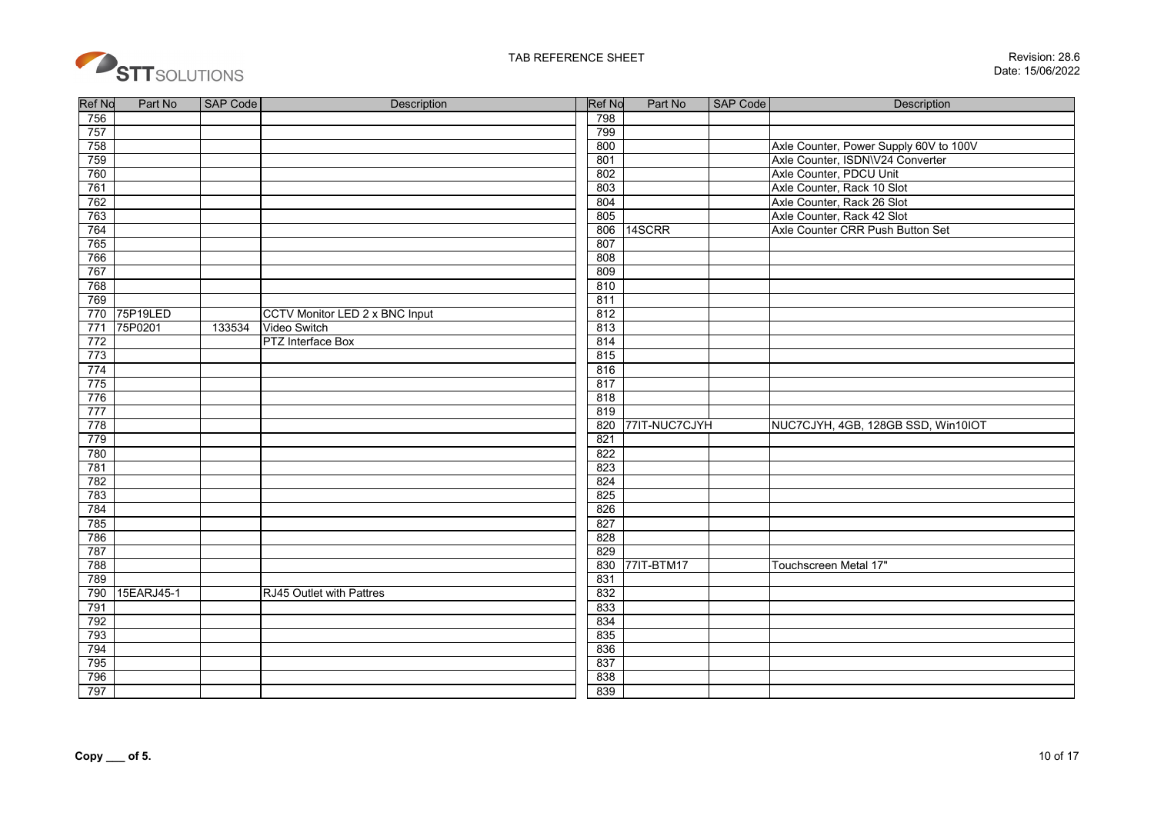

| Ref No | Part No    | <b>SAP Code</b> | <b>Description</b>                    | <b>Ref No</b> | Part No       | <b>SAP Code</b> | Description                            |
|--------|------------|-----------------|---------------------------------------|---------------|---------------|-----------------|----------------------------------------|
| 756    |            |                 |                                       | 798           |               |                 |                                        |
| 757    |            |                 |                                       | 799           |               |                 |                                        |
| 758    |            |                 |                                       | 800           |               |                 | Axle Counter, Power Supply 60V to 100V |
| 759    |            |                 |                                       | 801           |               |                 | Axle Counter, ISDN\V24 Converter       |
| 760    |            |                 |                                       | 802           |               |                 | Axle Counter, PDCU Unit                |
| 761    |            |                 |                                       | 803           |               |                 | Axle Counter, Rack 10 Slot             |
| 762    |            |                 |                                       | 804           |               |                 | Axle Counter, Rack 26 Slot             |
| 763    |            |                 |                                       | 805           |               |                 | Axle Counter, Rack 42 Slot             |
| 764    |            |                 |                                       | 806           | 14SCRR        |                 | Axle Counter CRR Push Button Set       |
| 765    |            |                 |                                       | 807           |               |                 |                                        |
| 766    |            |                 |                                       | 808           |               |                 |                                        |
| 767    |            |                 |                                       | 809           |               |                 |                                        |
| 768    |            |                 |                                       | 810           |               |                 |                                        |
| 769    |            |                 |                                       | 811           |               |                 |                                        |
| 770    | 75P19LED   |                 | <b>CCTV Monitor LED 2 x BNC Input</b> | 812           |               |                 |                                        |
| 771    | 75P0201    | 133534          | Video Switch                          | 813           |               |                 |                                        |
| 772    |            |                 | PTZ Interface Box                     | 814           |               |                 |                                        |
| 773    |            |                 |                                       | 815           |               |                 |                                        |
| 774    |            |                 |                                       | 816           |               |                 |                                        |
| 775    |            |                 |                                       | 817           |               |                 |                                        |
| 776    |            |                 |                                       | 818           |               |                 |                                        |
| 777    |            |                 |                                       | 819           |               |                 |                                        |
| 778    |            |                 |                                       | 820           | 77IT-NUC7CJYH |                 | NUC7CJYH, 4GB, 128GB SSD, Win10IOT     |
| 779    |            |                 |                                       | 821           |               |                 |                                        |
| 780    |            |                 |                                       | 822           |               |                 |                                        |
| 781    |            |                 |                                       | 823           |               |                 |                                        |
| 782    |            |                 |                                       | 824           |               |                 |                                        |
| 783    |            |                 |                                       | 825           |               |                 |                                        |
| 784    |            |                 |                                       | 826           |               |                 |                                        |
| 785    |            |                 |                                       | 827           |               |                 |                                        |
| 786    |            |                 |                                       | 828           |               |                 |                                        |
| 787    |            |                 |                                       | 829           |               |                 |                                        |
| 788    |            |                 |                                       | 830           | 77IT-BTM17    |                 | Touchscreen Metal 17"                  |
| 789    |            |                 |                                       | 831           |               |                 |                                        |
| 790    | 15EARJ45-1 |                 | RJ45 Outlet with Pattres              | 832           |               |                 |                                        |
| 791    |            |                 |                                       | 833           |               |                 |                                        |
| 792    |            |                 |                                       | 834           |               |                 |                                        |
| 793    |            |                 |                                       | 835           |               |                 |                                        |
| 794    |            |                 |                                       | 836           |               |                 |                                        |
| 795    |            |                 |                                       | 837           |               |                 |                                        |
| 796    |            |                 |                                       | 838           |               |                 |                                        |
| 797    |            |                 |                                       | 839           |               |                 |                                        |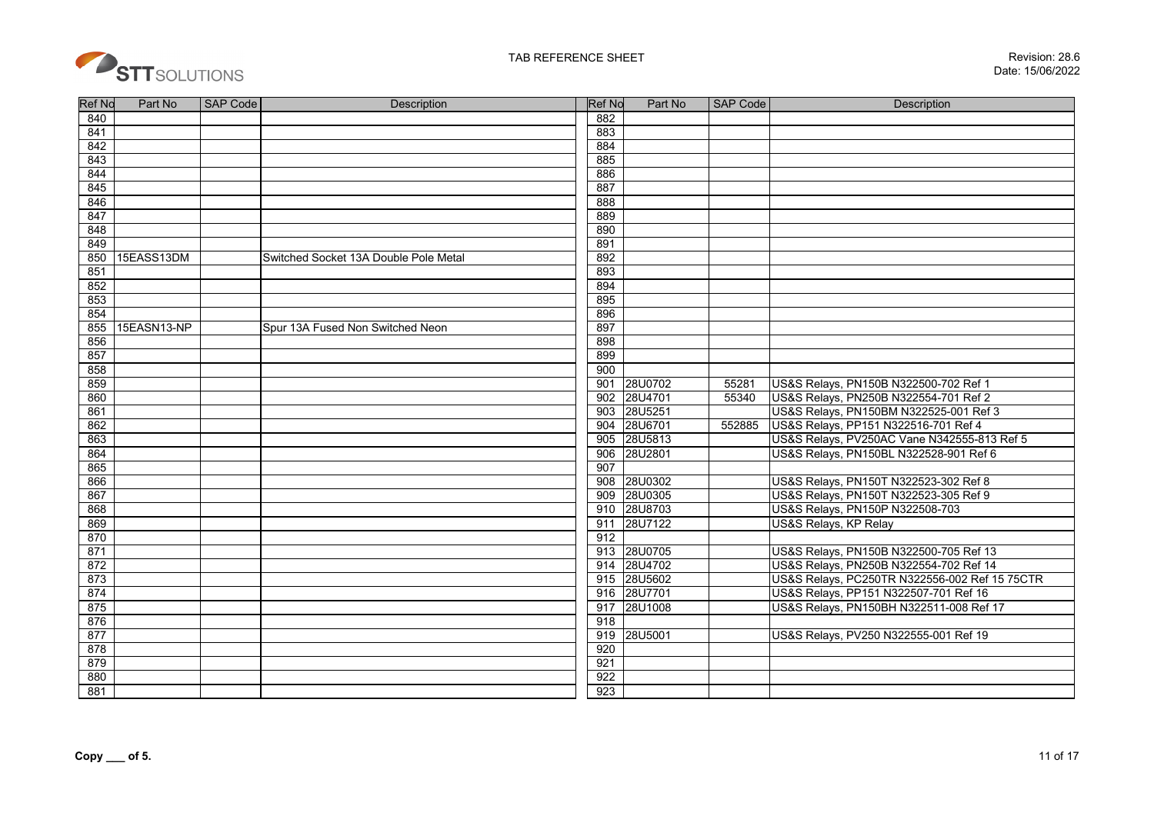

| <b>Ref No</b> | Part No     | <b>SAP Code</b> | <b>Description</b>                    | <b>Ref No</b> | Part No     | <b>SAP Code</b> | <b>Description</b>                            |
|---------------|-------------|-----------------|---------------------------------------|---------------|-------------|-----------------|-----------------------------------------------|
| 840           |             |                 |                                       | 882           |             |                 |                                               |
| 841           |             |                 |                                       | 883           |             |                 |                                               |
| 842           |             |                 |                                       | 884           |             |                 |                                               |
| 843           |             |                 |                                       | 885           |             |                 |                                               |
| 844           |             |                 |                                       | 886           |             |                 |                                               |
| 845           |             |                 |                                       | 887           |             |                 |                                               |
| 846           |             |                 |                                       | 888           |             |                 |                                               |
| 847           |             |                 |                                       | 889           |             |                 |                                               |
| 848           |             |                 |                                       | 890           |             |                 |                                               |
| 849           |             |                 |                                       | 891           |             |                 |                                               |
| 850           | 15EASS13DM  |                 | Switched Socket 13A Double Pole Metal | 892           |             |                 |                                               |
| 851           |             |                 |                                       | 893           |             |                 |                                               |
| 852           |             |                 |                                       | 894           |             |                 |                                               |
| 853           |             |                 |                                       | 895           |             |                 |                                               |
| 854           |             |                 |                                       | 896           |             |                 |                                               |
| 855           | 15EASN13-NP |                 | Spur 13A Fused Non Switched Neon      | 897           |             |                 |                                               |
| 856           |             |                 |                                       | 898           |             |                 |                                               |
| 857           |             |                 |                                       | 899           |             |                 |                                               |
| 858           |             |                 |                                       | 900           |             |                 |                                               |
| 859           |             |                 |                                       | 901           | 28U0702     | 55281           | US&S Relays, PN150B N322500-702 Ref 1         |
| 860           |             |                 |                                       | 902           | 28U4701     | 55340           | US&S Relays, PN250B N322554-701 Ref 2         |
| 861           |             |                 |                                       | 903           | 28U5251     |                 | US&S Relays, PN150BM N322525-001 Ref 3        |
| 862           |             |                 |                                       | 904           | 28U6701     | 552885          | US&S Relays, PP151 N322516-701 Ref 4          |
| 863           |             |                 |                                       | 905           | 28U5813     |                 | US&S Relays, PV250AC Vane N342555-813 Ref 5   |
| 864           |             |                 |                                       | 906           | 28U2801     |                 | US&S Relays, PN150BL N322528-901 Ref 6        |
| 865           |             |                 |                                       | 907           |             |                 |                                               |
| 866           |             |                 |                                       |               | 908 28U0302 |                 | US&S Relays, PN150T N322523-302 Ref 8         |
| 867           |             |                 |                                       | 909           | 28U0305     |                 | US&S Relays, PN150T N322523-305 Ref 9         |
| 868           |             |                 |                                       |               | 910 28U8703 |                 | US&S Relays, PN150P N322508-703               |
| 869           |             |                 |                                       | 911           | 28U7122     |                 | <b>US&amp;S Relays, KP Relay</b>              |
| 870           |             |                 |                                       | 912           |             |                 |                                               |
| 871           |             |                 |                                       |               | 913 28U0705 |                 | US&S Relays, PN150B N322500-705 Ref 13        |
| 872           |             |                 |                                       | 914           | 28U4702     |                 | US&S Relays, PN250B N322554-702 Ref 14        |
| 873           |             |                 |                                       |               | 915 28U5602 |                 | US&S Relays, PC250TR N322556-002 Ref 15 75CTR |
| 874           |             |                 |                                       |               | 916 28U7701 |                 | US&S Relays, PP151 N322507-701 Ref 16         |
| 875           |             |                 |                                       | 917           | 28U1008     |                 | US&S Relays, PN150BH N322511-008 Ref 17       |
| 876           |             |                 |                                       | 918           |             |                 |                                               |
| 877           |             |                 |                                       | 919           | 28U5001     |                 | US&S Relays, PV250 N322555-001 Ref 19         |
| 878           |             |                 |                                       | 920           |             |                 |                                               |
| 879           |             |                 |                                       | 921           |             |                 |                                               |
| 880           |             |                 |                                       | 922           |             |                 |                                               |
| 881           |             |                 |                                       | 923           |             |                 |                                               |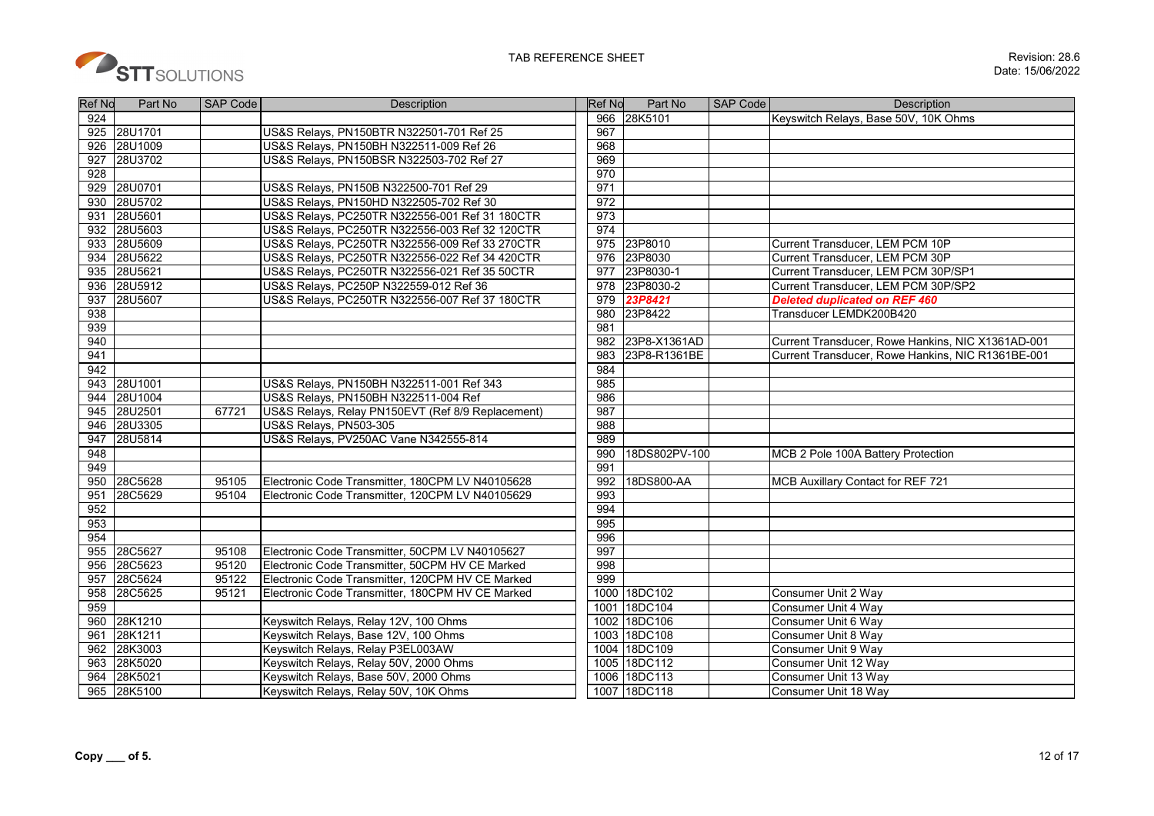

| <b>Ref No</b> | Part No | <b>SAP Code</b> | Description                                       | <b>Ref No</b> | Part No        | SAP Code | Description                                       |
|---------------|---------|-----------------|---------------------------------------------------|---------------|----------------|----------|---------------------------------------------------|
| 924           |         |                 |                                                   | 966           | 28K5101        |          | Keyswitch Relays, Base 50V, 10K Ohms              |
| 925           | 28U1701 |                 | US&S Relays, PN150BTR N322501-701 Ref 25          | 967           |                |          |                                                   |
| 926           | 28U1009 |                 | US&S Relays, PN150BH N322511-009 Ref 26           | 968           |                |          |                                                   |
| 927           | 28U3702 |                 | US&S Relays, PN150BSR N322503-702 Ref 27          | 969           |                |          |                                                   |
| 928           |         |                 |                                                   | 970           |                |          |                                                   |
| 929           | 28U0701 |                 | US&S Relays, PN150B N322500-701 Ref 29            | 971           |                |          |                                                   |
| 930           | 28U5702 |                 | US&S Relays, PN150HD N322505-702 Ref 30           | 972           |                |          |                                                   |
| 931           | 28U5601 |                 | US&S Relays, PC250TR N322556-001 Ref 31 180CTR    | 973           |                |          |                                                   |
| 932           | 28U5603 |                 | US&S Relays, PC250TR N322556-003 Ref 32 120CTR    | 974           |                |          |                                                   |
| 933           | 28U5609 |                 | US&S Relays, PC250TR N322556-009 Ref 33 270CTR    | 975           | 23P8010        |          | Current Transducer, LEM PCM 10P                   |
| 934           | 28U5622 |                 | US&S Relays, PC250TR N322556-022 Ref 34 420CTR    | 976           | 23P8030        |          | Current Transducer, LEM PCM 30P                   |
| 935           | 28U5621 |                 | US&S Relays, PC250TR N322556-021 Ref 35 50CTR     | 977           | 23P8030-1      |          | Current Transducer, LEM PCM 30P/SP1               |
| 936           | 28U5912 |                 | US&S Relays, PC250P N322559-012 Ref 36            | 978           | 23P8030-2      |          | Current Transducer, LEM PCM 30P/SP2               |
| 937           | 28U5607 |                 | US&S Relays, PC250TR N322556-007 Ref 37 180CTR    | 979           | <b>23P8421</b> |          | <b>Deleted duplicated on REF 460</b>              |
| 938           |         |                 |                                                   | 980           | 23P8422        |          | Transducer LEMDK200B420                           |
| 939           |         |                 |                                                   | 981           |                |          |                                                   |
| 940           |         |                 |                                                   | 982           | 23P8-X1361AD   |          | Current Transducer, Rowe Hankins, NIC X1361AD-001 |
| 941           |         |                 |                                                   | 983           | 23P8-R1361BE   |          | Current Transducer, Rowe Hankins, NIC R1361BE-001 |
| 942           |         |                 |                                                   | 984           |                |          |                                                   |
| 943           | 28U1001 |                 | US&S Relays, PN150BH N322511-001 Ref 343          | 985           |                |          |                                                   |
| 944           | 28U1004 |                 | US&S Relays, PN150BH N322511-004 Ref              | 986           |                |          |                                                   |
| 945           | 28U2501 | 67721           | US&S Relays, Relay PN150EVT (Ref 8/9 Replacement) | 987           |                |          |                                                   |
| 946           | 28U3305 |                 | US&S Relays, PN503-305                            | 988           |                |          |                                                   |
| 947           | 28U5814 |                 | US&S Relays, PV250AC Vane N342555-814             | 989           |                |          |                                                   |
| 948           |         |                 |                                                   | 990           | 18DS802PV-100  |          | MCB 2 Pole 100A Battery Protection                |
| 949           |         |                 |                                                   | 991           |                |          |                                                   |
| 950           | 28C5628 | 95105           | Electronic Code Transmitter, 180CPM LV N40105628  | 992           | 18DS800-AA     |          | MCB Auxillary Contact for REF 721                 |
| 951           | 28C5629 | 95104           | Electronic Code Transmitter. 120CPM LV N40105629  | 993           |                |          |                                                   |
| 952           |         |                 |                                                   | 994           |                |          |                                                   |
| 953           |         |                 |                                                   | 995           |                |          |                                                   |
| 954           |         |                 |                                                   | 996           |                |          |                                                   |
| 955           | 28C5627 | 95108           | Electronic Code Transmitter, 50CPM LV N40105627   | 997           |                |          |                                                   |
| 956           | 28C5623 | 95120           | Electronic Code Transmitter, 50CPM HV CE Marked   | 998           |                |          |                                                   |
| 957           | 28C5624 | 95122           | Electronic Code Transmitter, 120CPM HV CE Marked  | 999           |                |          |                                                   |
| 958           | 28C5625 | 95121           | Electronic Code Transmitter, 180CPM HV CE Marked  |               | 1000 18DC102   |          | Consumer Unit 2 Way                               |
| 959           |         |                 |                                                   |               | 1001 18DC104   |          | Consumer Unit 4 Wav                               |
| 960           | 28K1210 |                 | Keyswitch Relays, Relay 12V, 100 Ohms             |               | 1002 18DC106   |          | Consumer Unit 6 Way                               |
| 961           | 28K1211 |                 | Keyswitch Relays, Base 12V, 100 Ohms              |               | 1003 18DC108   |          | Consumer Unit 8 Way                               |
| 962           | 28K3003 |                 | Keyswitch Relays, Relay P3EL003AW                 |               | 1004 18DC109   |          | Consumer Unit 9 Way                               |
| 963           | 28K5020 |                 | Keyswitch Relays, Relay 50V, 2000 Ohms            |               | 1005 18DC112   |          | Consumer Unit 12 Way                              |
| 964           | 28K5021 |                 | Keyswitch Relays, Base 50V, 2000 Ohms             |               | 1006 18DC113   |          | Consumer Unit 13 Way                              |
| 965           | 28K5100 |                 | Keyswitch Relays, Relay 50V, 10K Ohms             |               | 1007 18DC118   |          | Consumer Unit 18 Way                              |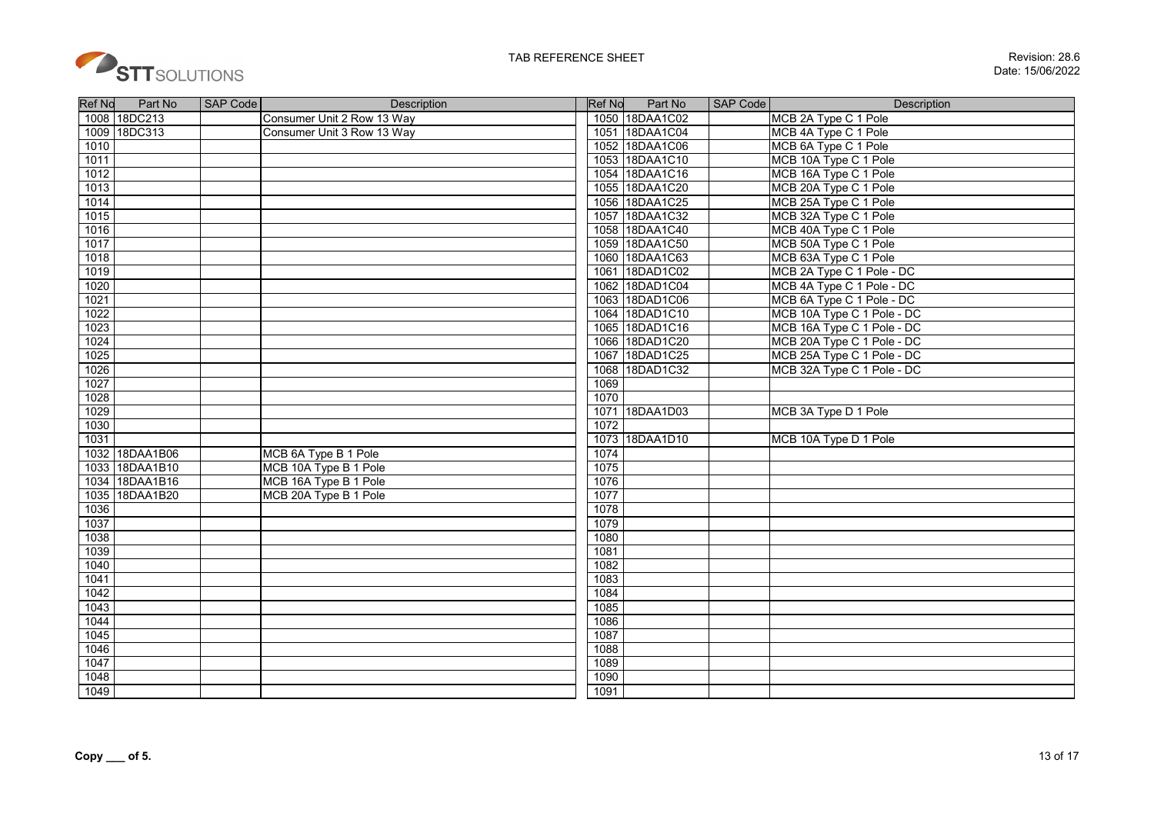

| <b>Ref No</b>    | Part No        | <b>SAP Code</b> | Description                | <b>Ref No</b> | Part No        | <b>SAP Code</b> | <b>Description</b>         |
|------------------|----------------|-----------------|----------------------------|---------------|----------------|-----------------|----------------------------|
|                  | 1008 18DC213   |                 | Consumer Unit 2 Row 13 Way |               | 1050 18DAA1C02 |                 | MCB 2A Type C 1 Pole       |
|                  | 1009 18DC313   |                 | Consumer Unit 3 Row 13 Way |               | 1051 18DAA1C04 |                 | MCB 4A Type C 1 Pole       |
| 1010             |                |                 |                            |               | 1052 18DAA1C06 |                 | MCB 6A Type C 1 Pole       |
| 1011             |                |                 |                            |               | 1053 18DAA1C10 |                 | MCB 10A Type C 1 Pole      |
| 1012             |                |                 |                            |               | 1054 18DAA1C16 |                 | MCB 16A Type C 1 Pole      |
| 1013             |                |                 |                            |               | 1055 18DAA1C20 |                 | MCB 20A Type C 1 Pole      |
| 1014             |                |                 |                            |               | 1056 18DAA1C25 |                 | MCB 25A Type C 1 Pole      |
| 1015             |                |                 |                            |               | 1057 18DAA1C32 |                 | MCB 32A Type C 1 Pole      |
| 1016             |                |                 |                            |               | 1058 18DAA1C40 |                 | MCB 40A Type C 1 Pole      |
| 1017             |                |                 |                            |               | 1059 18DAA1C50 |                 | MCB 50A Type C 1 Pole      |
| 1018             |                |                 |                            |               | 1060 18DAA1C63 |                 | MCB 63A Type C 1 Pole      |
| $\frac{1019}{2}$ |                |                 |                            |               | 1061 18DAD1C02 |                 | MCB 2A Type C 1 Pole - DC  |
| 1020             |                |                 |                            |               | 1062 18DAD1C04 |                 | MCB 4A Type C 1 Pole - DC  |
| 1021             |                |                 |                            |               | 1063 18DAD1C06 |                 | MCB 6A Type C 1 Pole - DC  |
| 1022             |                |                 |                            |               | 1064 18DAD1C10 |                 | MCB 10A Type C 1 Pole - DC |
| 1023             |                |                 |                            |               | 1065 18DAD1C16 |                 | MCB 16A Type C 1 Pole - DC |
| 1024             |                |                 |                            |               | 1066 18DAD1C20 |                 | MCB 20A Type C 1 Pole - DC |
| 1025             |                |                 |                            |               | 1067 18DAD1C25 |                 | MCB 25A Type C 1 Pole - DC |
| 1026             |                |                 |                            |               | 1068 18DAD1C32 |                 | MCB 32A Type C 1 Pole - DC |
| 1027             |                |                 |                            | 1069          |                |                 |                            |
| 1028             |                |                 |                            | 1070          |                |                 |                            |
| 1029             |                |                 |                            |               | 1071 18DAA1D03 |                 | MCB 3A Type D 1 Pole       |
| 1030             |                |                 |                            | 1072          |                |                 |                            |
| 1031             |                |                 |                            |               | 1073 18DAA1D10 |                 | MCB 10A Type D 1 Pole      |
|                  | 1032 18DAA1B06 |                 | MCB 6A Type B 1 Pole       | 1074          |                |                 |                            |
|                  | 1033 18DAA1B10 |                 | MCB 10A Type B 1 Pole      | 1075          |                |                 |                            |
|                  | 1034 18DAA1B16 |                 | MCB 16A Type B 1 Pole      | 1076          |                |                 |                            |
|                  | 1035 18DAA1B20 |                 | MCB 20A Type B 1 Pole      | 1077          |                |                 |                            |
| 1036             |                |                 |                            | 1078          |                |                 |                            |
| 1037             |                |                 |                            | 1079          |                |                 |                            |
| 1038             |                |                 |                            | 1080          |                |                 |                            |
| 1039             |                |                 |                            | 1081          |                |                 |                            |
| 1040             |                |                 |                            | 1082          |                |                 |                            |
| 1041             |                |                 |                            | 1083          |                |                 |                            |
| 1042             |                |                 |                            | 1084          |                |                 |                            |
| 1043             |                |                 |                            | 1085          |                |                 |                            |
| 1044             |                |                 |                            | 1086          |                |                 |                            |
| 1045             |                |                 |                            | 1087          |                |                 |                            |
| 1046             |                |                 |                            | 1088          |                |                 |                            |
| 1047             |                |                 |                            | 1089          |                |                 |                            |
| 1048             |                |                 |                            | 1090          |                |                 |                            |
| 1049             |                |                 |                            | 1091          |                |                 |                            |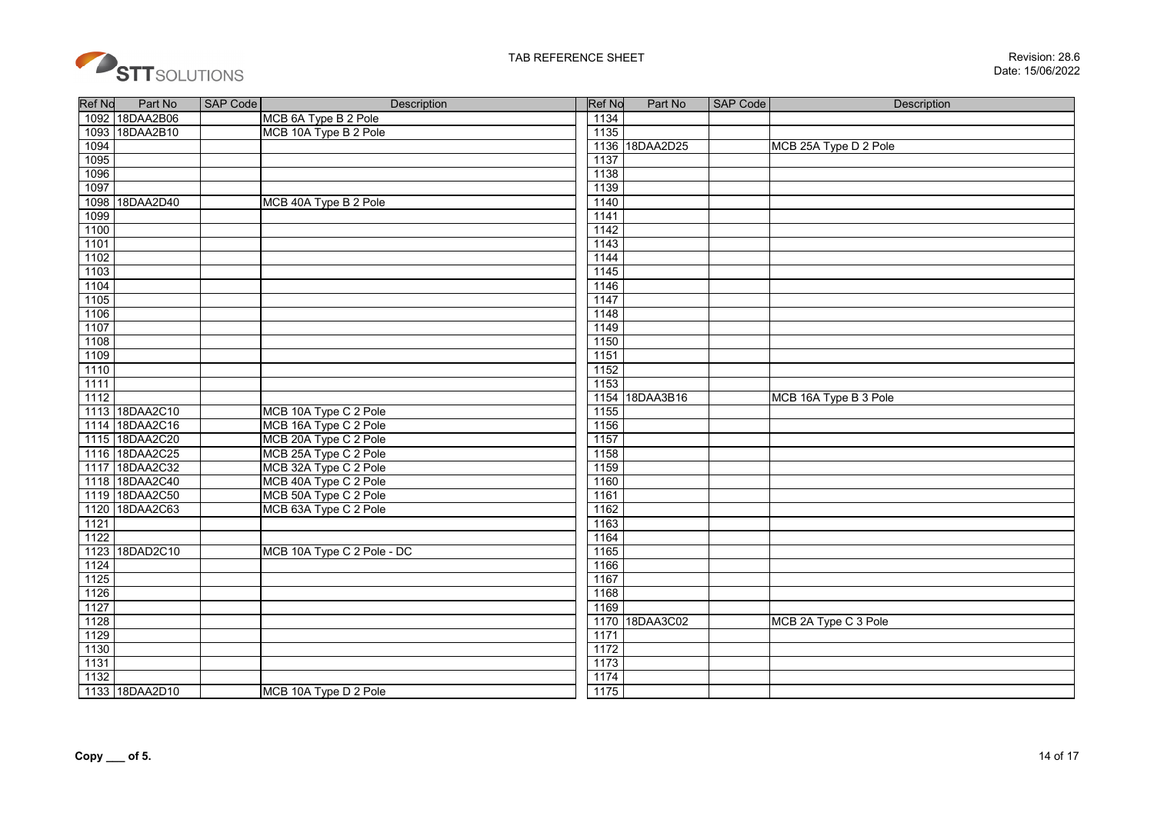

| <b>Ref No</b> | Part No        | <b>SAP Code</b> | <b>Description</b>         | <b>Ref No</b> | Part No        | <b>SAP Code</b> | <b>Description</b>    |
|---------------|----------------|-----------------|----------------------------|---------------|----------------|-----------------|-----------------------|
|               | 1092 18DAA2B06 |                 | MCB 6A Type B 2 Pole       | 1134          |                |                 |                       |
|               | 1093 18DAA2B10 |                 | MCB 10A Type B 2 Pole      | 1135          |                |                 |                       |
| 1094          |                |                 |                            | 1136          | 18DAA2D25      |                 | MCB 25A Type D 2 Pole |
| 1095          |                |                 |                            | 1137          |                |                 |                       |
| 1096          |                |                 |                            | 1138          |                |                 |                       |
| 1097          |                |                 |                            | 1139          |                |                 |                       |
|               | 1098 18DAA2D40 |                 | MCB 40A Type B 2 Pole      | 1140          |                |                 |                       |
| 1099          |                |                 |                            | 1141          |                |                 |                       |
| 1100          |                |                 |                            | 1142          |                |                 |                       |
| 1101          |                |                 |                            | 1143          |                |                 |                       |
| 1102          |                |                 |                            | 1144          |                |                 |                       |
| 1103          |                |                 |                            | 1145          |                |                 |                       |
| 1104          |                |                 |                            | 1146          |                |                 |                       |
| 1105          |                |                 |                            | 1147          |                |                 |                       |
| 1106          |                |                 |                            | 1148          |                |                 |                       |
| 1107          |                |                 |                            | 1149          |                |                 |                       |
| 1108          |                |                 |                            | 1150          |                |                 |                       |
| 1109          |                |                 |                            | 1151          |                |                 |                       |
| 1110          |                |                 |                            | 1152          |                |                 |                       |
| 1111          |                |                 |                            | 1153          |                |                 |                       |
| 1112          |                |                 |                            |               | 1154 18DAA3B16 |                 | MCB 16A Type B 3 Pole |
|               | 1113 18DAA2C10 |                 | MCB 10A Type C 2 Pole      | 1155          |                |                 |                       |
|               | 1114 18DAA2C16 |                 | MCB 16A Type C 2 Pole      | 1156          |                |                 |                       |
|               | 1115 18DAA2C20 |                 | MCB 20A Type C 2 Pole      | 1157          |                |                 |                       |
|               | 1116 18DAA2C25 |                 | MCB 25A Type C 2 Pole      | 1158          |                |                 |                       |
|               | 1117 18DAA2C32 |                 | MCB 32A Type C 2 Pole      | 1159          |                |                 |                       |
|               | 1118 18DAA2C40 |                 | MCB 40A Type C 2 Pole      | 1160          |                |                 |                       |
|               | 1119 18DAA2C50 |                 | MCB 50A Type C 2 Pole      | 1161          |                |                 |                       |
|               | 1120 18DAA2C63 |                 | MCB 63A Type C 2 Pole      | 1162          |                |                 |                       |
| 1121          |                |                 |                            | 1163          |                |                 |                       |
| 1122          |                |                 |                            | 1164          |                |                 |                       |
|               | 1123 18DAD2C10 |                 | MCB 10A Type C 2 Pole - DC | 1165          |                |                 |                       |
| 1124          |                |                 |                            | 1166          |                |                 |                       |
| 1125          |                |                 |                            | 1167          |                |                 |                       |
| 1126          |                |                 |                            | 1168          |                |                 |                       |
| 1127          |                |                 |                            | 1169          |                |                 |                       |
| 1128          |                |                 |                            |               | 1170 18DAA3C02 |                 | MCB 2A Type C 3 Pole  |
| 1129          |                |                 |                            | 1171          |                |                 |                       |
| 1130          |                |                 |                            | 1172          |                |                 |                       |
| 1131          |                |                 |                            | 1173          |                |                 |                       |
| 1132          |                |                 |                            | 1174          |                |                 |                       |
|               | 1133 18DAA2D10 |                 | MCB 10A Type D 2 Pole      | 1175          |                |                 |                       |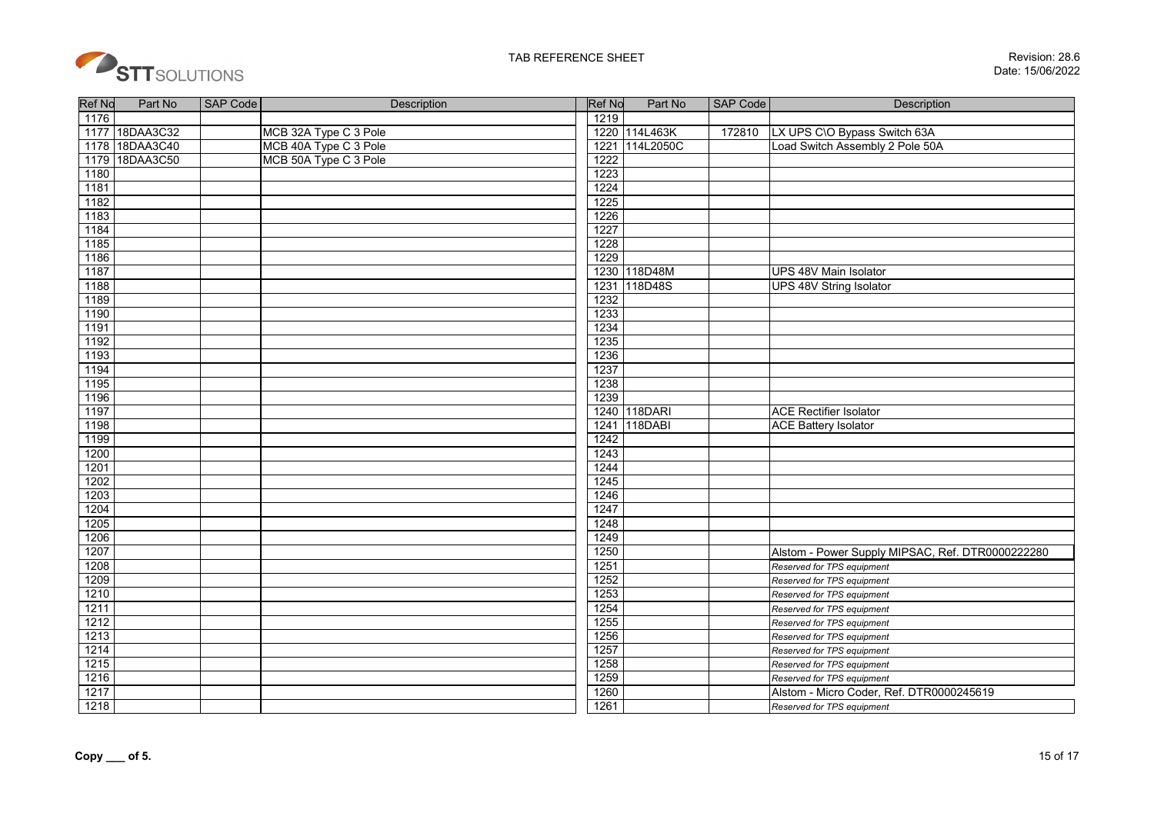

| <b>Ref No</b> | Part No        | SAP Code | Description           | <b>Ref No</b> | Part No        | <b>SAP Code</b> | Description                                      |
|---------------|----------------|----------|-----------------------|---------------|----------------|-----------------|--------------------------------------------------|
| 1176          |                |          |                       | 1219          |                |                 |                                                  |
|               | 1177 18DAA3C32 |          | MCB 32A Type C 3 Pole |               | 1220 114L463K  | 172810          | LX UPS C\O Bypass Switch 63A                     |
|               | 1178 18DAA3C40 |          | MCB 40A Type C 3 Pole | 1221          | 114L2050C      |                 | Load Switch Assembly 2 Pole 50A                  |
|               | 1179 18DAA3C50 |          | MCB 50A Type C 3 Pole | 1222          |                |                 |                                                  |
| 1180          |                |          |                       | 1223          |                |                 |                                                  |
| 1181          |                |          |                       | 1224          |                |                 |                                                  |
| 1182          |                |          |                       | 1225          |                |                 |                                                  |
| 1183          |                |          |                       | 1226          |                |                 |                                                  |
| 1184          |                |          |                       | 1227          |                |                 |                                                  |
| 1185          |                |          |                       | 1228          |                |                 |                                                  |
| 1186          |                |          |                       | 1229          |                |                 |                                                  |
| 1187          |                |          |                       |               | 1230 118D48M   |                 | UPS 48V Main Isolator                            |
| 1188          |                |          |                       |               | 1231 118D48S   |                 | UPS 48V String Isolator                          |
| 1189          |                |          |                       | 1232          |                |                 |                                                  |
| 1190          |                |          |                       | 1233          |                |                 |                                                  |
| 1191          |                |          |                       | 1234          |                |                 |                                                  |
| 1192          |                |          |                       | 1235          |                |                 |                                                  |
| 1193          |                |          |                       | 1236          |                |                 |                                                  |
| 1194          |                |          |                       | 1237          |                |                 |                                                  |
| 1195          |                |          |                       | 1238          |                |                 |                                                  |
| 1196          |                |          |                       | 1239          |                |                 |                                                  |
| 1197          |                |          |                       |               | 1240 118DARI   |                 | <b>ACE Rectifier Isolator</b>                    |
| 1198          |                |          |                       | 1241          | <b>118DABI</b> |                 | <b>ACE Battery Isolator</b>                      |
| 1199          |                |          |                       | 1242          |                |                 |                                                  |
| 1200          |                |          |                       | 1243          |                |                 |                                                  |
| 1201          |                |          |                       | 1244          |                |                 |                                                  |
| 1202          |                |          |                       | 1245          |                |                 |                                                  |
| 1203          |                |          |                       | 1246          |                |                 |                                                  |
| 1204          |                |          |                       | 1247          |                |                 |                                                  |
| 1205          |                |          |                       | 1248          |                |                 |                                                  |
| 1206          |                |          |                       | 1249          |                |                 |                                                  |
| 1207          |                |          |                       | 1250          |                |                 | Alstom - Power Supply MIPSAC, Ref. DTR0000222280 |
| 1208          |                |          |                       | 1251          |                |                 | Reserved for TPS equipment                       |
| 1209          |                |          |                       | 1252          |                |                 | Reserved for TPS equipment                       |
| 1210          |                |          |                       | 1253          |                |                 | Reserved for TPS equipment                       |
| 1211          |                |          |                       | 1254          |                |                 | Reserved for TPS equipment                       |
| 1212          |                |          |                       | 1255          |                |                 | Reserved for TPS equipment                       |
| 1213          |                |          |                       | 1256          |                |                 | Reserved for TPS equipment                       |
| 1214          |                |          |                       | 1257          |                |                 | Reserved for TPS equipment                       |
| 1215          |                |          |                       | 1258          |                |                 | Reserved for TPS equipment                       |
| 1216          |                |          |                       | 1259          |                |                 | Reserved for TPS equipment                       |
| 1217          |                |          |                       | 1260          |                |                 | Alstom - Micro Coder, Ref. DTR0000245619         |
| 1218          |                |          |                       | 1261          |                |                 | Reserved for TPS equipment                       |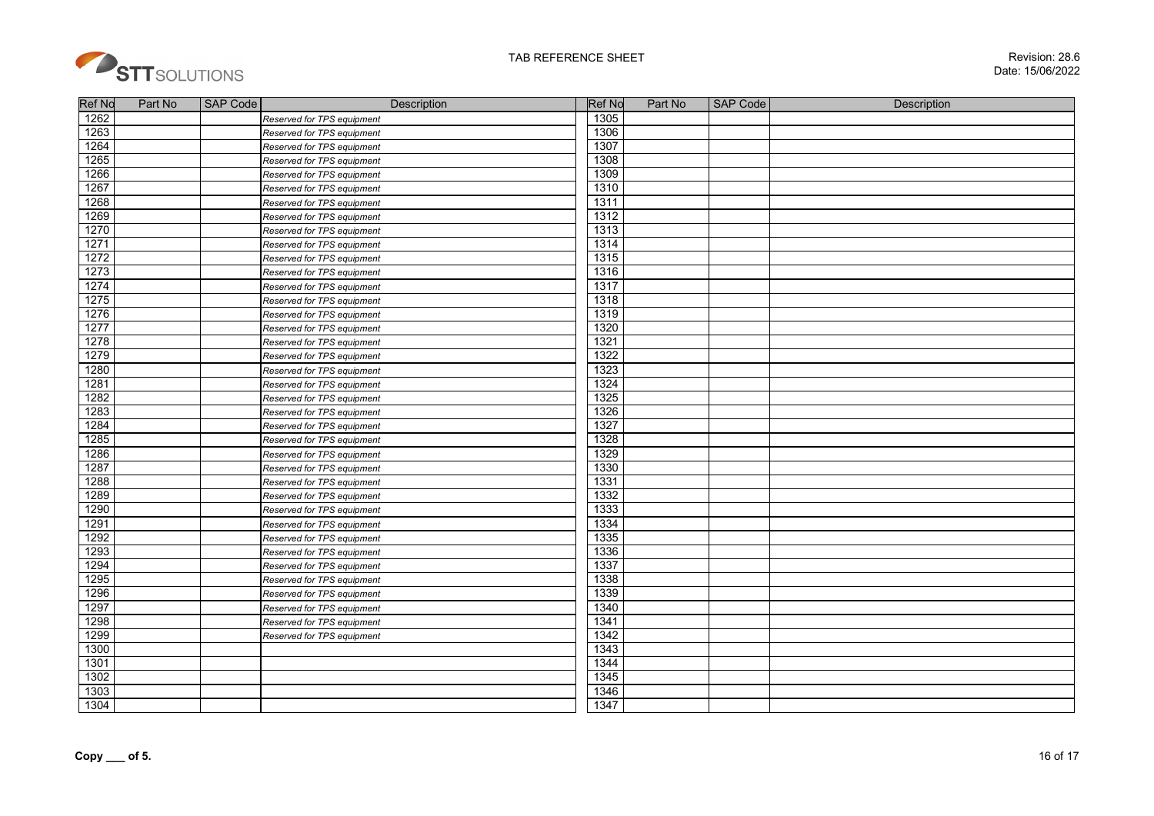

| <b>Ref No</b> | Part No | SAP Code | Description                | <b>Ref No</b> | Part No | <b>SAP Code</b> | Description |
|---------------|---------|----------|----------------------------|---------------|---------|-----------------|-------------|
| 1262<br>1263  |         |          | Reserved for TPS equipment | 1305<br>1306  |         |                 |             |
|               |         |          | Reserved for TPS equipment |               |         |                 |             |
| 1264          |         |          | Reserved for TPS equipment | 1307<br>1308  |         |                 |             |
| 1265          |         |          | Reserved for TPS equipment |               |         |                 |             |
| 1266          |         |          | Reserved for TPS equipment | 1309          |         |                 |             |
| 1267          |         |          | Reserved for TPS equipment | 1310          |         |                 |             |
| 1268          |         |          | Reserved for TPS equipment | 1311          |         |                 |             |
| 1269          |         |          | Reserved for TPS equipment | 1312          |         |                 |             |
| 1270          |         |          | Reserved for TPS equipment | 1313          |         |                 |             |
| 1271          |         |          | Reserved for TPS equipment | 1314          |         |                 |             |
| 1272          |         |          | Reserved for TPS equipment | 1315          |         |                 |             |
| 1273          |         |          | Reserved for TPS equipment | 1316          |         |                 |             |
| 1274          |         |          | Reserved for TPS equipment | 1317          |         |                 |             |
| 1275          |         |          | Reserved for TPS equipment | 1318          |         |                 |             |
| 1276          |         |          | Reserved for TPS equipment | 1319<br>1320  |         |                 |             |
| 1277          |         |          | Reserved for TPS equipment |               |         |                 |             |
| 1278          |         |          | Reserved for TPS equipment | 1321          |         |                 |             |
| 1279          |         |          | Reserved for TPS equipment | 1322          |         |                 |             |
| 1280          |         |          | Reserved for TPS equipment | 1323          |         |                 |             |
| 1281          |         |          | Reserved for TPS equipment | 1324<br>1325  |         |                 |             |
| 1282          |         |          | Reserved for TPS equipment |               |         |                 |             |
| 1283          |         |          | Reserved for TPS equipment | 1326          |         |                 |             |
| 1284          |         |          | Reserved for TPS equipment | 1327          |         |                 |             |
| 1285          |         |          | Reserved for TPS equipment | 1328          |         |                 |             |
| 1286          |         |          | Reserved for TPS equipment | 1329          |         |                 |             |
| 1287          |         |          | Reserved for TPS equipment | 1330          |         |                 |             |
| 1288          |         |          | Reserved for TPS equipment | 1331          |         |                 |             |
| 1289          |         |          | Reserved for TPS equipment | 1332          |         |                 |             |
| 1290          |         |          | Reserved for TPS equipment | 1333          |         |                 |             |
| 1291          |         |          | Reserved for TPS equipment | 1334          |         |                 |             |
| 1292          |         |          | Reserved for TPS equipment | 1335          |         |                 |             |
| 1293          |         |          | Reserved for TPS equipment | 1336          |         |                 |             |
| 1294          |         |          | Reserved for TPS equipment | 1337          |         |                 |             |
| 1295          |         |          | Reserved for TPS equipment | 1338          |         |                 |             |
| 1296          |         |          | Reserved for TPS equipment | 1339          |         |                 |             |
| 1297          |         |          | Reserved for TPS equipment | 1340          |         |                 |             |
| 1298          |         |          | Reserved for TPS equipment | 1341          |         |                 |             |
| 1299          |         |          | Reserved for TPS equipment | 1342          |         |                 |             |
| 1300          |         |          |                            | 1343          |         |                 |             |
| 1301          |         |          |                            | 1344          |         |                 |             |
| 1302          |         |          |                            | 1345          |         |                 |             |
| 1303          |         |          |                            | 1346          |         |                 |             |
| 1304          |         |          |                            | 1347          |         |                 |             |